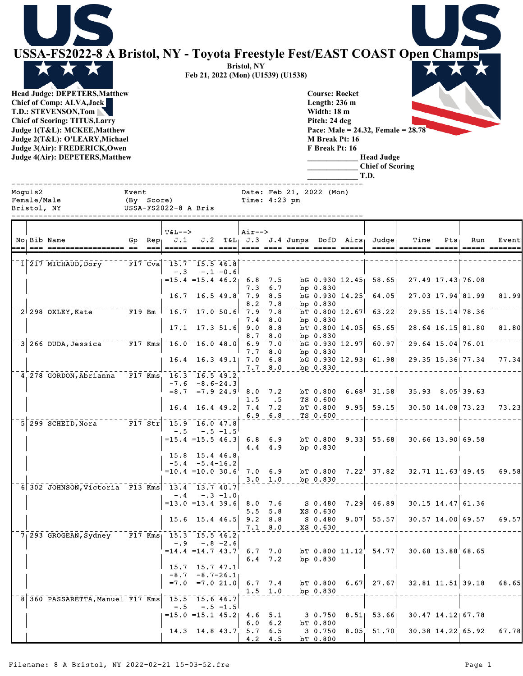| USSA-FS2022-8 A Bristol, NY - Toyota Freestyle Fest/EAST COAST Open Champs<br><b>Head Judge: DEPETERS, Matthew</b><br><b>Chief of Comp: ALVA, Jack</b><br>T.D.: STEVENSON, Tom<br><b>Chief of Scoring: TITUS, Larry</b><br>Judge 1(T&L): MCKEE, Matthew<br>Judge 2(T&L): O'LEARY, Michael<br>Judge 3(Air): FREDERICK, Owen<br>Judge 4(Air): DEPETERS, Matthew |                                             |                                     | Feb 21, 2022 (Mon) (U1539) (U1538)                                                                       |             | <b>Bristol, NY</b>       |                                     | <b>Course: Rocket</b><br>Length: 236 m<br>Width: 18 m<br>Pitch: 24 deg<br>M Break Pt: 16<br>F Break Pt: 16 |                                  | Pace: Male = 24.32, Female = $28.78'$<br><b>Head Judge</b><br><b>Chief of Scoring</b><br>T.D. |                                                                      |     |                                                 |       |
|---------------------------------------------------------------------------------------------------------------------------------------------------------------------------------------------------------------------------------------------------------------------------------------------------------------------------------------------------------------|---------------------------------------------|-------------------------------------|----------------------------------------------------------------------------------------------------------|-------------|--------------------------|-------------------------------------|------------------------------------------------------------------------------------------------------------|----------------------------------|-----------------------------------------------------------------------------------------------|----------------------------------------------------------------------|-----|-------------------------------------------------|-------|
| Moguls2<br>Female/Male<br>Bristol, NY                                                                                                                                                                                                                                                                                                                         | Event<br>(By Score)<br>USSA-FS2022-8 A Bris |                                     |                                                                                                          |             | Time: 4:23 pm            |                                     | Date: Feb 21, 2022 (Mon)                                                                                   |                                  |                                                                                               |                                                                      |     |                                                 |       |
| No Bib Name                                                                                                                                                                                                                                                                                                                                                   | $Rep_{\perp}$<br>Gp                         | $T&L-->$<br>J.1                     | J.2                                                                                                      |             | $Air--$                  |                                     |                                                                                                            | $T\&L_1$ J.3 J.4 Jumps DofD Airs | Judge                                                                                         | Time                                                                 | Pts | Run                                             | Event |
| 1 217 MICHAUD, Dory                                                                                                                                                                                                                                                                                                                                           |                                             | F17 Cva $15.7$ 15.5 46.8<br>$- 0.3$ | $= 15.4$ $= 15.4$ $46.2$                                                                                 | $-.1 - 0.6$ | 6.8<br>7.3               | 7.5<br>6.7                          | bp 0.830                                                                                                   | $DG$ 0.930 12.45                 | 58.65                                                                                         |                                                                      |     | 27.49 17.43 76.08                               |       |
| $2\overline{298}$ OXLEY, Kate                                                                                                                                                                                                                                                                                                                                 | $F19$ Bm                                    | 16.7                                | $16.5$ 49.8<br>$-16.7 - 17.0$ 50.6                                                                       |             | 7.9<br>8.2<br>7.9<br>7.4 | 8.5<br>7.8<br>7.8<br>8.0            | bG 0.930 14.25<br>bp $0.830$<br>bp $0.830$                                                                 | $b$ T 0.800 $12.67$              | 64.05<br>63.22                                                                                |                                                                      |     | 27.03 17.94 81.99<br>$\sqrt{29.55}$ 15.14 78.36 | 81.99 |
| 3 266 DUDA, Jessica                                                                                                                                                                                                                                                                                                                                           | $F17$ Kms                                   |                                     | $17.1$ 17.3 51.6<br>$16.0 - 16.0$ 48.0                                                                   |             | 9.0<br>8.7<br>6.9<br>7.7 | 8.8<br>8.0<br>7.0<br>8.0            | bp $0.830$<br>bg 0.930 12.97<br>bp $0.830$                                                                 | $bT$ 0.800 14.05                 | 65.65<br>60.97                                                                                |                                                                      |     | 28.64 16.15 81.80<br>$29.64$ 15.04 76.01        | 81.80 |
| 4.278 GORDON, Abrianna                                                                                                                                                                                                                                                                                                                                        | $F17$ Kms                                   | 16.4                                | $16.3$ 49.1<br>16.3 16.5 49.2<br>$-7.6 - 8.6 - 24.3$                                                     |             | 7.0                      | 6.8<br>7.7 8.0                      | bp $0.830$                                                                                                 | bG 0.930 12.93                   | 61.98                                                                                         |                                                                      |     | 29.35 15.36 77.34<br>$35.93$ $8.05$ 39.63       | 77.34 |
| 5 299 SCHEID, Nora F17 Str 15.9 16.0 47.8                                                                                                                                                                                                                                                                                                                     |                                             | 16.4                                | $=8.7$ $=7.9$ 24.9 8.0 7.2<br>$16.4$ 49.2                                                                |             | 1.5<br>$7.4$ $7.2$       | $\cdot$ 5<br>$6.9$ $6.8$            | bT 0.800<br>TS 0.600<br>bT 0.800<br>TS 0.600                                                               |                                  | $6.68$ 31.58<br>$9.95$ 59.15                                                                  | 30.50 14.08 73.23                                                    |     |                                                 | 73.23 |
|                                                                                                                                                                                                                                                                                                                                                               |                                             |                                     | $-.5 - .5 - 1.5$<br>$= 15.4 = 15.5 46.3$<br>15.8 15.4 46.8<br>$-5.4 - 5.4 - 16.2$<br>$=10.4$ = 10.0 30.6 |             | $6.8 \t6.9$<br>7.0 6.9   | $4.4$ $4.9$                         | bT 0.800<br>bp 0.830<br>bT 0.800                                                                           | 9.33                             | 55.68<br>$7.22^{\dagger}$ 37.82                                                               |                                                                      |     | 30.66 13.90 69.58<br>$32.71$ $11.63$ $49.45$    | 69.58 |
| 6 302 JOHNSON, Victoria F13 Kms 13.4 13.7 40.7                                                                                                                                                                                                                                                                                                                |                                             | $- 0.4$                             | $= 13.0$ $= 13.4$ 39.6                                                                                   | $-.3 -1.0$  | 5.5                      | $3.0 \quad 1.0$<br>$8.0$ 7.6<br>5.8 | bp 0.830<br>S 0.480<br>XS 0.630                                                                            | 7.29                             | 46.89                                                                                         |                                                                      |     | $30.15$ 14.47 61.36                             |       |
| 7 293 GROGEAN, Sydney F17 Kms 15.3 15.5 46.2                                                                                                                                                                                                                                                                                                                  |                                             |                                     | $15.6$ 15.4 46.5 9.2 8.8<br>$-.9 - .8 - 2.6$<br>$= 14.4 = 14.743.7$                                      |             |                          | $7.1 \t 8.0$<br>6.7, 7.0            | S 0.480<br>XS 0.630                                                                                        | 9.07<br>$bT$ 0.800 11.12         | 55.57<br>54.77                                                                                |                                                                      |     | 30.57 14.00 69.57<br>30.68 13.88 68.65          | 69.57 |
|                                                                                                                                                                                                                                                                                                                                                               |                                             | $= 7.0$                             | $15.7$ $15.7$ $47.1$<br>$-8.7 - 8.7 - 26.1$<br>$=7.0$ 21.0                                               |             | 6.7, 7.4<br>$1.5 \t1.0$  | $6.4$ 7.2                           | bp 0.830<br>bp 0.830                                                                                       | $bT$ 0.800 6.67                  | 27.67                                                                                         |                                                                      |     | 32.81 11.51 39.18                               | 68.65 |
| 8 360 PASSARETTA, Manuel F17 Kms 15.5 15.6 46.7                                                                                                                                                                                                                                                                                                               |                                             | $-1.5$                              |                                                                                                          | $-.5 - 1.5$ |                          |                                     |                                                                                                            |                                  |                                                                                               | $=$ 15.0 =15.1 45.2  4.6 5.1 3 0.750 8.51  53.66  30.47 14.12  67.78 |     |                                                 |       |

6.0 6.2 bT 0.800

14.3 14.8 43.7 5.7 6.5 3 0.750 8.05 51.70 30.38 14.22 65.92 67.78  $\begin{array}{|c|c|c|c|c|} \hline 3 & 0.750 & 8.05 \\ \hline \texttt{bT} & 0.800 & \hline \end{array}$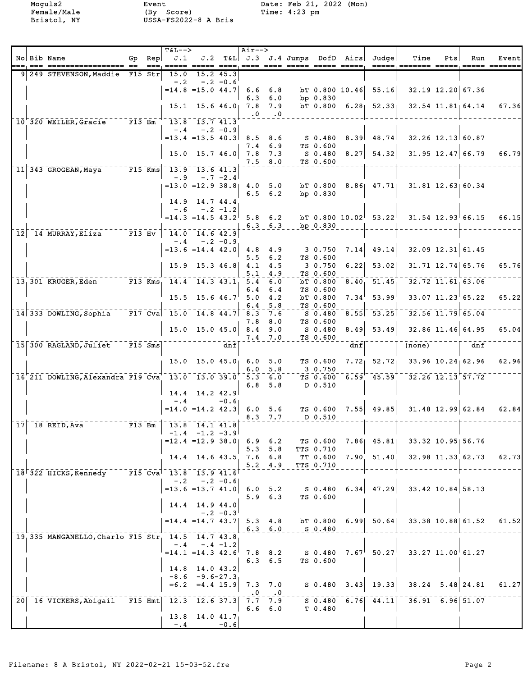|  |                                                                                                                                         |  | T&L-->                           |                                         |            | Air-->      |                                |                                |                        |     |                                                                                 |                                                          |     |                         |       |
|--|-----------------------------------------------------------------------------------------------------------------------------------------|--|----------------------------------|-----------------------------------------|------------|-------------|--------------------------------|--------------------------------|------------------------|-----|---------------------------------------------------------------------------------|----------------------------------------------------------|-----|-------------------------|-------|
|  | No Bib Name                                                                                                                             |  | Gp $\text{Rep}$ J.1              |                                         |            |             |                                | == ==== ==== ===== ===== ===== |                        |     | J.2 T&L J.3 J.4 Jumps DofD Airs Judge                                           | Time                                                     | Pts | Run                     | Event |
|  | 9 249 STEVENSON, Maddie F15 Str $15.0$ 15.2 45.3                                                                                        |  |                                  | $-.2 - .2 - 0.6$                        |            |             |                                |                                |                        |     |                                                                                 |                                                          |     |                         |       |
|  |                                                                                                                                         |  | $= 14.8$ = 15.0 44.7 6.6 6.8     |                                         |            |             |                                |                                |                        |     | $bT$ 0.800 10.46 55.16                                                          |                                                          |     | $32.19$ $12.20$ 67.36   |       |
|  |                                                                                                                                         |  |                                  | $15.1$ $15.6$ $46.0$ $7.8$ $7.9$        |            |             | 6.3 6.0<br>$\cdot 0 \cdot 0$   |                                | bp 0.830               |     | bT $0.800$ 6.28 $52.33$ 32.54 11.81 64.14                                       |                                                          |     |                         | 67.36 |
|  | $10^{+}$ 320 WEILER, Gracie F13 Bm $13.8$ 13.7 41.3                                                                                     |  |                                  |                                         |            |             |                                |                                |                        |     |                                                                                 |                                                          |     |                         |       |
|  |                                                                                                                                         |  | $= 13.4$ = 13.5 40.3 8.5 8.6     | $-.4 - .2 - 0.9$                        |            |             |                                |                                |                        |     | $S$ 0.480 8.39 48.74                                                            | $32.26$ $12.13$ $60.87$                                  |     |                         |       |
|  |                                                                                                                                         |  |                                  | $15.0$ $15.7$ $46.0$ $7.8$ $7.3$        |            |             | $7.4 \t6.9$<br>$7.5$ 8.0       |                                | TS 0.600<br>TS 0.600   |     | $S$ 0.480 8.27 54.32 31.95 12.47 66.79 66.79                                    |                                                          |     |                         |       |
|  | $\begin{bmatrix} 11 & 343 & \text{GROGEAN}, \text{Maya} \\ 11 & 343 & \text{GROGEAN}, \text{Maya} \end{bmatrix}$ F15 Kms 13.9 13.6 41.3 |  | $-.9$                            |                                         | $-.7 -2.4$ |             |                                |                                |                        |     |                                                                                 |                                                          |     |                         |       |
|  |                                                                                                                                         |  | $= 13.0$ $= 12.9$ $38.8$ 4.0 5.0 |                                         |            |             |                                |                                |                        |     | bT 0.800 8.86 47.71 31.81 12.63 60.34                                           |                                                          |     |                         |       |
|  |                                                                                                                                         |  |                                  | 14.9 14.7 44.4                          |            |             | $6.5 \t6.2$                    |                                | bp 0.830               |     |                                                                                 |                                                          |     |                         |       |
|  |                                                                                                                                         |  | $=14.3$ $=14.5$ $43.2$ 5.8 6.2   | $-.6 - .2 -1.2$                         |            |             |                                |                                |                        |     | bT 0.800 10.02 53.22 31.54 12.93 66.15                                          |                                                          |     |                         | 66.15 |
|  | $\lceil$ 12 $\rceil$ 14 MURRAY, Eliza $\lceil$ F13 Hv $\rceil$ 14.0 14.6 42.9                                                           |  |                                  |                                         |            | $6.3$ $6.3$ |                                |                                | bp 0.830               |     |                                                                                 |                                                          |     |                         |       |
|  |                                                                                                                                         |  | $= 13.6 = 14.4$ 42.0 4.8 4.9     | $-.4 - .2 - 0.9$                        |            |             |                                |                                |                        |     | $3\;\; 0.750\quad 7.14 \; \; 49.14 $                                            |                                                          |     | $32.09$ 12.31 61.45     |       |
|  |                                                                                                                                         |  |                                  |                                         |            |             | $5.5 \t6.2$                    |                                | TS 0.600               |     |                                                                                 |                                                          |     |                         |       |
|  |                                                                                                                                         |  |                                  | 15.9 15.3 46.8 4.1 4.5                  |            | 5.1         | 4.9                            |                                | 3 0.750<br>TS 0.600    |     | $6.22$ $53.02$                                                                  |                                                          |     | 31.71 12.74 65.76       | 65.76 |
|  | $\frac{1}{13}$ 301 KRUGER, Eden F13 Kms, 14.4 14.3 43.1, 5.4 6.0                                                                        |  |                                  |                                         |            | 6.4         | 6.4                            |                                | TS 0.600               |     | $bT$ 0.800 8.40 51.45                                                           | $\overline{32.72}$ $\overline{11.61}$ $\overline{63.06}$ |     |                         |       |
|  |                                                                                                                                         |  |                                  | $15.5$ $15.6$ $46.7$ $5.0$ $4.2$        |            | 6.4         | 5.8                            |                                | $TS$ 0.600             |     | $bT$ 0.800 7.34 53.99                                                           |                                                          |     | $33.07$ $11.23$ 65.22   | 65.22 |
|  | $\lceil 14 \rceil 333$ DOWLING, Sophia F17 Cva 15.0 14.8 44.7 8.3 7.6                                                                   |  |                                  |                                         |            |             |                                |                                | S 0.480                |     | $\sqrt{8.55}$ $\sqrt{53.25}$                                                    |                                                          |     | $32.56$ $11.79$ $65.04$ |       |
|  |                                                                                                                                         |  |                                  | $15.0$ $15.0$ $45.0$ $8.4$ $9.0$        |            |             | $7.8$ $8.0$                    |                                | TS 0.600<br>S 0.480    |     | $8.49$ 53.49                                                                    |                                                          |     | $32.86$ 11.46 64.95     | 65.04 |
|  | $\lceil 15 \rceil 300 \text{ RAGLAND}, \text{Juliet} \rceil \rceil 5 \text{ Sms} \rceil$                                                |  |                                  |                                         | dnf        |             | $7.4$ $7.0$                    |                                | TS 0.600               | dnf |                                                                                 | (none)                                                   |     | dnf                     |       |
|  |                                                                                                                                         |  |                                  | $15.0$ $15.0$ $45.0$ $6.0$ $5.0$        |            |             | 6.0 5.8                        |                                | TS 0.600<br>3 0.750    |     | $7.72$ $52.72$ $33.96$ $10.24$ 62.96                                            |                                                          |     |                         | 62.96 |
|  | $16^{6}$ 211 DOWLING, Alexandra F19 Cva <sup>1</sup> 13.0 13.0 39.0 5.3 6.0                                                             |  |                                  |                                         |            | 6.8         | 5.8                            |                                | D 0.510                |     | $\overline{\text{TS}}$ 0.600 6.59 45.59 $\overline{\text{S}}$ 32.26 12.13 57.72 |                                                          |     |                         |       |
|  |                                                                                                                                         |  |                                  | $14.4$ 14.2 42.9                        |            |             |                                |                                |                        |     |                                                                                 |                                                          |     |                         |       |
|  |                                                                                                                                         |  | $-0.4$                           |                                         | $-0.61$    |             | $8.3 \t7.7$                    |                                | $D$ 0.510              |     | $=14.0$ $=14.2$ 42.3 6.0 5.6 TS 0.600 7.55 49.85 31.48 12.99 62.84 62.84        |                                                          |     |                         |       |
|  | $17$   18 REID, Ava   13.8   13.8   14.1 41.8                                                                                           |  | $ -1.4 -1.2 -3.9 $               |                                         |            |             |                                |                                |                        |     |                                                                                 |                                                          |     |                         |       |
|  |                                                                                                                                         |  | $=12.4$ =12.9 38.0 6.9 6.2       |                                         |            |             |                                |                                |                        |     | TS $0.600$ 7.86 45.81 33.32 10.95 56.76                                         |                                                          |     |                         |       |
|  |                                                                                                                                         |  |                                  |                                         |            |             | $5.3 \t5.8$<br>$5.2 \quad 4.9$ |                                | TTS 0.710<br>TTS 0.710 |     | 14.4 14.6 43.5 7.6 6.8 TT 0.600 7.90 51.40 32.98 11.33 62.73 62.73              |                                                          |     |                         |       |
|  | $18\overline{322}$ HICKS, Kennedy F15 Cva <sup>1</sup> 13.8 13.9 41.6                                                                   |  |                                  |                                         |            |             |                                |                                |                        |     |                                                                                 |                                                          |     |                         |       |
|  |                                                                                                                                         |  |                                  | $-.2 - .2 - 0.6$                        |            |             | $5.9 \t6.3$                    |                                | TS 0.600               |     | $=$ 13.6 =13.7 41.0 6.0 5.2 S 0.480 6.34 47.29 33.42 10.84 58.13                |                                                          |     |                         |       |
|  |                                                                                                                                         |  |                                  | 14.4 14.9 44.0                          | $-.2 -0.3$ |             |                                |                                |                        |     |                                                                                 |                                                          |     |                         |       |
|  |                                                                                                                                         |  | $= 14.4$ $= 14.7$ $43.7$ 5.3 4.8 |                                         |            |             | $6.3\quad 6.0$                 |                                | S 0.480                |     | bT 0.800 6.99 50.64 33.38 10.88 61.52                                           |                                                          |     |                         | 61.52 |
|  | 19, 335 MANGANELLO, Charlo F15 Str, 14.5 14.7 43.8                                                                                      |  |                                  | $-.4-.4-.1.2$                           |            |             |                                |                                |                        |     |                                                                                 |                                                          |     |                         |       |
|  |                                                                                                                                         |  | $=14.1$ $=14.3$ $42.6$ 7.8 8.2   |                                         |            |             | $6.3 \quad 6.5$                |                                | TS 0.600               |     | $S$ 0.480 $7.67^{\dagger}$ 50.27 $^{\dagger}$ 33.27 11.00 $^{\dagger}$ 61.27    |                                                          |     |                         |       |
|  |                                                                                                                                         |  |                                  | $14.8$ 14.0 43.2<br>$-8.6 - 9.6 - 27.3$ |            |             |                                |                                |                        |     |                                                                                 |                                                          |     |                         |       |
|  |                                                                                                                                         |  |                                  |                                         |            |             |                                |                                |                        |     | $=6.2$ $=4.4$ 15.9 7.3 7.0 S 0.480 3.43 19.33 38.24 5.48 24.81                  |                                                          |     |                         | 61.27 |
|  | 20 16 VICKERS, Abigail FI5 Hmt  12.3 12.6 37.3 7.5 7.9 7.9 50.480 6.76 44.11 36.91 6.96 51.07                                           |  |                                  |                                         |            |             | $\cdot 0 \qquad \cdot 0$       |                                |                        |     |                                                                                 |                                                          |     |                         |       |
|  |                                                                                                                                         |  |                                  | $13.8$ 14.0 41.7                        |            |             | $6.6\quad 6.0$                 |                                | T 0.480                |     |                                                                                 |                                                          |     |                         |       |
|  |                                                                                                                                         |  |                                  | $-4$                                    | $-0.6$     |             |                                |                                |                        |     |                                                                                 |                                                          |     |                         |       |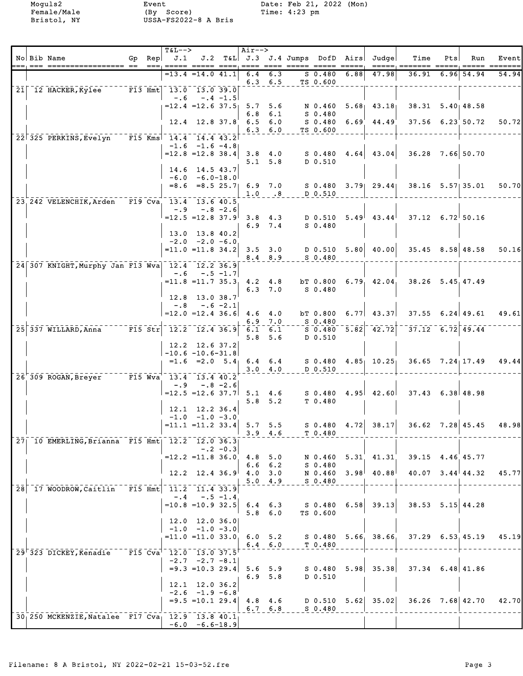Female/Male (By Score) Time: 4:23 pm Bristol, NY USSA-FS2022-8 A Bris

Moguls2 Event Date: Feb 21, 2022 (Mon)

|    | No Bib Name                                      | Gp Rep | $T&L-->$<br>J.1                                    |                                                        |             | $Air--$               |                                |                       | J.2 T&L J.3 J.4 Jumps DofD Airs |      | Judge                                      | Time                                                                | Pts  | Run                    | Event |
|----|--------------------------------------------------|--------|----------------------------------------------------|--------------------------------------------------------|-------------|-----------------------|--------------------------------|-----------------------|---------------------------------|------|--------------------------------------------|---------------------------------------------------------------------|------|------------------------|-------|
|    |                                                  |        | ===, ===== ===== ====, ==== ==== ===== ===== ===== | $=13.4$ $=14.0$ $41.1$                                 |             | 6.4                   | 6.3                            |                       | $S$ 0.480                       | 6.88 | 47.98                                      | 36.91                                                               | 6.96 | 54.94                  | 54.94 |
|    |                                                  |        |                                                    |                                                        |             |                       | $6.3$ $6.5$                    |                       | TS 0.600                        |      |                                            |                                                                     |      |                        |       |
| 21 | 12 HACKER, Kylee                                 |        | $-$ F13 Hmt 13.0 13.0 39.0<br>$- 0.6$              |                                                        | $-.4 -1.5$  |                       |                                |                       |                                 |      |                                            |                                                                     |      |                        |       |
|    |                                                  |        |                                                    | $= 12.4$ = 12.6 37.5 5.7 5.6                           |             |                       |                                |                       |                                 |      | N 0.460 5.68 43.18                         | $38.31$ $5.40$ $48.58$                                              |      |                        |       |
|    |                                                  |        |                                                    | $12.4$ 12.8 37.8                                       |             | 6.8<br>$6.5\quad 6.0$ | 6.1                            |                       | S 0.480                         |      | $S$ 0.480 6.69 44.49                       |                                                                     |      | 37.56 6.23 50.72       | 50.72 |
|    |                                                  |        |                                                    |                                                        |             |                       | $6.3\quad 6.0$                 |                       | TS 0.600                        |      |                                            |                                                                     |      |                        |       |
|    | 22 325 PERKINS, Evelyn F15 Kms 14.4 14.4 43.2    |        |                                                    | $-1.6 -1.6 -4.8$                                       |             |                       |                                |                       |                                 |      |                                            |                                                                     |      |                        |       |
|    |                                                  |        |                                                    | $=12.8$ = 12.8 38.4                                    |             |                       |                                |                       |                                 |      | 3.8 4.0 S 0.480 4.64 43.04 5.1 5.8 D 0.510 | 36.28 7.66 50.70                                                    |      |                        |       |
|    |                                                  |        |                                                    | 14.6 14.5 43.7                                         |             |                       | $5.1 \quad 5.8$                |                       | D 0.510                         |      |                                            |                                                                     |      |                        |       |
|    |                                                  |        |                                                    | $-6.0 - 6.0 - 18.0$                                    |             |                       |                                |                       |                                 |      |                                            |                                                                     |      |                        |       |
|    |                                                  |        |                                                    |                                                        |             |                       | $1.0 \qquad .8$                |                       | D 0.510                         |      |                                            | $=8.6$ $=8.5$ 25.7  6.9 7.0 S 0.480 3.79  29.44  38.16 5.57  35.01  |      |                        | 50.70 |
|    | 23, 242 VELENCHIK, Arden F19 Cva, 13.4 13.6 40.5 |        |                                                    |                                                        |             |                       |                                |                       |                                 |      |                                            |                                                                     |      |                        |       |
|    |                                                  |        |                                                    | $-.9 - .8 - 2.6$<br>$=12.5$ = 12.8 37.9                |             |                       |                                |                       |                                 |      | 3.8 4.3 D 0.510 5.49 43.44                 | $37.12 \quad 6.72$ 50.16                                            |      |                        |       |
|    |                                                  |        |                                                    |                                                        |             |                       | $6.9$ $7.4$                    |                       | $S_0.480$                       |      |                                            |                                                                     |      |                        |       |
|    |                                                  |        |                                                    | 13.0 13.8 40.2<br>$-2.0 -2.0 -6.0$                     |             |                       |                                |                       |                                 |      |                                            |                                                                     |      |                        |       |
|    |                                                  |        |                                                    | $=11.0$ =11.8 34.2                                     |             |                       |                                |                       |                                 |      |                                            | 3.5 3.0 $\vert$ D 0.510 5.80 40.00 35.45 8.58 48.58                 |      |                        | 50.16 |
|    | 24 307 KNIGHT, Murphy Jan F13 Wva 12.4 12.2 36.9 |        |                                                    |                                                        |             |                       |                                | $8.4$ $8.9$ $S$ 0.480 |                                 |      |                                            |                                                                     |      |                        |       |
|    |                                                  |        |                                                    | $-.6 - .5 - 1.7$                                       |             |                       |                                |                       |                                 |      |                                            |                                                                     |      |                        |       |
|    |                                                  |        |                                                    |                                                        |             |                       | $6.3$ $7.0$                    |                       | S 0.480                         |      |                                            | $=$ 11.8 =11.7 35.3, 4.2 4.8 bT 0.800 6.79, 42.04, 38.26 5.45,47.49 |      |                        |       |
|    |                                                  |        |                                                    | 12.8 13.0 38.7                                         |             |                       |                                |                       |                                 |      |                                            |                                                                     |      |                        |       |
|    |                                                  |        |                                                    | $-.8 - .6 - 2.1$<br>$=12.0$ = 12.4 36.6 4.6 4.0        |             |                       |                                |                       |                                 |      |                                            | $bT$ 0.800 6.77 43.37 37.55 6.24 49.61                              |      |                        | 49.61 |
|    |                                                  |        |                                                    |                                                        |             |                       | $6.9$ $7.0$                    |                       | S 0.480                         |      |                                            |                                                                     |      |                        |       |
|    | 25 337 WILLARD, Anna F15 Str 12.2 12.4 36.9      |        |                                                    |                                                        |             |                       | $6.1 \quad 6.1$<br>$5.8$ $5.6$ |                       | D 0.510                         |      |                                            | $5.82$ $-37.12$ $-6.72$ $49.44$                                     |      |                        |       |
|    |                                                  |        |                                                    | 12.2 12.6 37.2                                         |             |                       |                                |                       |                                 |      |                                            |                                                                     |      |                        |       |
|    |                                                  |        |                                                    | $-10.6 - 10.6 - 31.8$                                  |             |                       |                                |                       |                                 |      |                                            | $=1.6$ $=2.0$ $5.4$ 6.4 6.4 s 0.480 4.85 10.25 36.65 7.24 17.49     |      |                        | 49.44 |
|    |                                                  |        |                                                    |                                                        |             |                       | 3.0 4.0                        |                       | D 0.510                         |      |                                            |                                                                     |      |                        |       |
|    | 26 309 ROGAN, Breyer F15 Wva 13.4 13.4 40.2      |        | $-0.9$                                             | $-.8 - 2.6$                                            |             |                       |                                |                       |                                 |      |                                            |                                                                     |      |                        |       |
|    |                                                  |        |                                                    |                                                        |             |                       | $5.8$ $5.2$                    |                       | T 0.480                         |      |                                            | $=12.5$ =12.6 37.7 5.1 4.6 S 0.480 4.95 42.60 37.43 6.38 48.98      |      |                        |       |
|    |                                                  |        |                                                    | $12.1$ $12.2$ $36.4$                                   |             |                       |                                |                       |                                 |      |                                            |                                                                     |      |                        |       |
|    |                                                  |        |                                                    | $-1.0$ $-1.0$ $-3.0$<br>$= 11.1$ $= 11.2$ 33.4 5.7 5.5 |             |                       |                                |                       |                                 |      |                                            | $S$ 0.480 4.72 38.17 36.62 7.28 45.45                               |      |                        | 48.98 |
|    |                                                  |        |                                                    |                                                        |             | $3.9$ 4.6             |                                |                       | T 0.480                         |      |                                            |                                                                     |      |                        |       |
|    | 27 10 EMERLING, Brianna F15 Hmt   12.2 12.0 36.3 |        |                                                    |                                                        | $-.2 - 0.3$ |                       |                                |                       |                                 |      |                                            |                                                                     |      |                        |       |
|    |                                                  |        |                                                    | $=12.2$ = 11.8 36.0                                    |             |                       | $4.8$ 5.0                      |                       |                                 |      | N 0.460 5.31 41.31                         | 39.15 4.46 45.77                                                    |      |                        |       |
|    |                                                  |        |                                                    | $12.2$ 12.4 36.9                                       |             | $4.0$ 3.0             | $6.6 \t6.2$                    |                       | $S$ 0.480                       |      | N 0.460 3.98 40.88                         |                                                                     |      | $40.07$ $3.44$ $44.32$ | 45.77 |
|    |                                                  |        |                                                    |                                                        |             |                       | 5.04.9                         |                       | $S$ 0.480                       |      |                                            |                                                                     |      |                        |       |
|    | 28 17 WOODROW, Caitlin F15 Hmt 11.2 11.4 33.9    |        | $-0.4$                                             |                                                        | $-.5 - 1.4$ |                       |                                |                       |                                 |      |                                            |                                                                     |      |                        |       |
|    |                                                  |        |                                                    | $=10.8$ =10.9 32.5                                     |             |                       | $6.4 \t6.3$                    |                       | S 0.480                         | 6.58 | 39.13                                      | $38.53$ $5.15$ 44.28                                                |      |                        |       |
|    |                                                  |        |                                                    | 12.0 12.0 36.0                                         |             |                       | $5.8\quad 6.0$                 |                       | TS 0.600                        |      |                                            |                                                                     |      |                        |       |
|    |                                                  |        |                                                    | $-1.0$ $-1.0$ $-3.0$                                   |             |                       |                                |                       |                                 |      |                                            |                                                                     |      |                        |       |
|    |                                                  |        |                                                    | $= 11.0 = 11.0 33.0$                                   |             |                       | $6.4 \quad 6.0$                |                       | T <sub>0.480</sub>              |      |                                            | 6.0 5.2 S 0.480 5.66 38.66 37.29 6.53 45.19                         |      |                        | 45.19 |
|    | 29 323 DICKEY, Kenadie                           |        | $F15$ Cva <sup>1</sup> 12.0 13.0 37.5              |                                                        |             |                       |                                |                       |                                 |      |                                            |                                                                     |      |                        |       |
|    |                                                  |        |                                                    | $-2.7 -2.7 -8.1$<br>$= 9.3 = 10.3$ 29.4                |             | $5.6 \t5.9$           |                                |                       | S 0.480                         |      | $5.98$ 35.38                               | $37.34$ 6.48 41.86                                                  |      |                        |       |
|    |                                                  |        |                                                    |                                                        |             |                       | $6.9$ $5.8$                    |                       | D 0.510                         |      |                                            |                                                                     |      |                        |       |
|    |                                                  |        | 12.1                                               | $-2.6 -1.9 -6.8$                                       | 12.0 36.2   |                       |                                |                       |                                 |      |                                            |                                                                     |      |                        |       |
|    |                                                  |        |                                                    | $= 9.5 = 10.1 29.4$                                    |             |                       | $4.8 \t4.6$                    |                       | $D$ 0.510 5.62                  |      | 35.02                                      |                                                                     |      | $36.26$ 7.68 42.70     | 42.70 |
|    | 30 250 MCKENZIE, Natalee F17 Cva 12.9 13.8 40.1  |        |                                                    |                                                        |             |                       | $6.7 \quad 6.8$                |                       | S 0.480                         |      |                                            |                                                                     |      |                        |       |
|    |                                                  |        |                                                    | $-6.0 -6.6 - 18.9$                                     |             |                       |                                |                       |                                 |      |                                            |                                                                     |      |                        |       |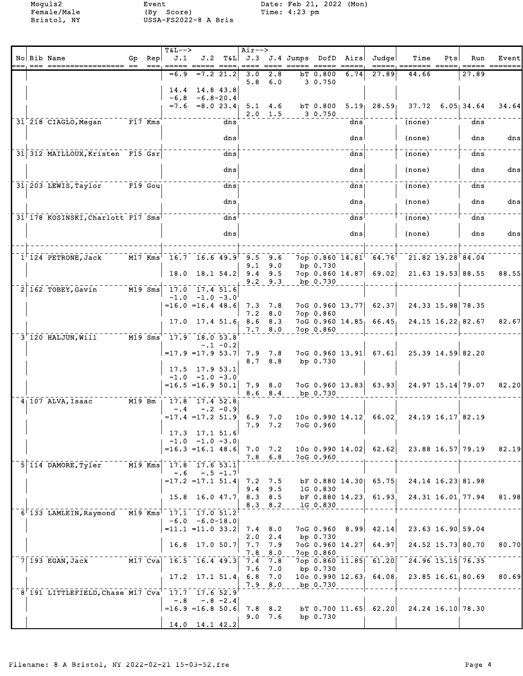Female/Male (By Score) Time: 4:23 pm Bristol, NY USSA-FS2022-8 A Bris

Moguls2 Event Date: Feb 21, 2022 (Mon)

|  | No Bib Name                                                              |                      |                        | $T\delta L--$<br>J.1                    |                     |             | Air-->                       |                 | J.2 T&L J.3 J.4 Jumps DofD Airs |                       |      | Judge                                              | Time                    | Pts | Run   |                        |
|--|--------------------------------------------------------------------------|----------------------|------------------------|-----------------------------------------|---------------------|-------------|------------------------------|-----------------|---------------------------------|-----------------------|------|----------------------------------------------------|-------------------------|-----|-------|------------------------|
|  |                                                                          | Gp                   | Rep<br>$= ==,$         | esses sesse sessi                       |                     |             |                              |                 |                                 |                       |      |                                                    |                         |     |       | Event<br>===== ======= |
|  |                                                                          |                      |                        | $=6.9$                                  |                     | $=7.2$ 21.2 | 3.0<br>5.8                   | 2.8<br>6.0      |                                 | $bT$ 0.800            | 6.74 | 27.89                                              | 44.66                   |     | 27.89 |                        |
|  |                                                                          |                      |                        | 14.4                                    | $14.8$ 43.8         |             |                              |                 |                                 | 3 0.750               |      |                                                    |                         |     |       |                        |
|  |                                                                          |                      |                        | $-6.8$                                  | $-6.8 - 20.4$       |             |                              |                 |                                 |                       |      |                                                    |                         |     |       |                        |
|  |                                                                          |                      |                        |                                         |                     |             | $=7.6$ $=8.0$ $23.4$ 5.1 4.6 | $2.0 \t1.5$     |                                 | bT 0.800<br>3 0.750   |      | $5.19$ 28.59                                       | $37.72$ 6.05 34.64      |     |       | 34.64                  |
|  | 31 218 CIAGLO, Megan F17 Kms                                             |                      |                        |                                         |                     | dns         |                              |                 |                                 |                       | dns  |                                                    | (none)                  |     | dns   |                        |
|  |                                                                          |                      |                        |                                         |                     | dnsl        |                              |                 |                                 |                       | dns  |                                                    | (none)                  |     | dns   | dns                    |
|  |                                                                          |                      |                        |                                         |                     |             |                              |                 |                                 |                       |      |                                                    |                         |     |       |                        |
|  | 31 312 MAILLOUX, Kristen F15 Gsr                                         |                      |                        |                                         |                     | dns         |                              |                 |                                 |                       | dns  |                                                    | (none)                  |     | dns   |                        |
|  |                                                                          |                      |                        |                                         |                     | dns         |                              |                 |                                 |                       | dns  |                                                    | (none)                  |     | dns   | dnsl                   |
|  | 31 203 LEWIS, Taylor F19 Goul                                            |                      |                        |                                         |                     | dns         |                              |                 |                                 |                       | dns  |                                                    | (none)                  |     | dns   |                        |
|  |                                                                          |                      |                        |                                         |                     |             |                              |                 |                                 |                       |      |                                                    |                         |     |       |                        |
|  |                                                                          |                      |                        |                                         |                     | dns         |                              |                 |                                 |                       | dns, |                                                    | (none)                  |     | dns   | dns                    |
|  | 31 178 KOSINSKI, Charlott F17 Sms                                        |                      |                        |                                         |                     | dns         |                              |                 |                                 |                       | dns  |                                                    | (none)                  |     | dns   |                        |
|  |                                                                          |                      |                        |                                         |                     |             |                              |                 |                                 |                       |      |                                                    |                         |     |       |                        |
|  |                                                                          |                      |                        |                                         |                     | dns         |                              |                 |                                 |                       | dns  |                                                    | (none)                  |     | dns   | dns                    |
|  |                                                                          |                      | $M17$ Kms <sup>1</sup> | $16.7$ 16.6 49.9 9.5 9.6                |                     |             |                              |                 |                                 |                       |      | 7op $0.860$ $14.81$ <sup><math>-64.76</math></sup> | $21.82$ $19.28$ $84.04$ |     |       |                        |
|  | $1^{\dagger}$ 124 PETRONE, Jack                                          |                      |                        |                                         |                     |             |                              | $9.1 \t9.0$     |                                 | bp 0.730              |      |                                                    |                         |     |       |                        |
|  |                                                                          |                      |                        | 18.0                                    |                     |             | $18.1$ 54.2 9.4              | 9.5             |                                 |                       |      | 7op 0.860 14.87   69.02                            | $21.63$ 19.53 88.55     |     |       | 88.55                  |
|  | $M19$ Sms<br>$2 \overline{162}$ TOBEY, Gavin                             |                      |                        | 17.0 17.4 51.6                          |                     |             |                              | $9.2$ $9.3$     |                                 | bp 0.730              |      |                                                    |                         |     |       |                        |
|  |                                                                          |                      |                        |                                         | $-1.0 -1.0 -3.0$    |             |                              |                 |                                 |                       |      |                                                    |                         |     |       |                        |
|  |                                                                          |                      |                        | $=16.0$ =16.4 48.6 7.3 7.8              |                     |             | 7.2                          | 8.0             |                                 | 7op 0.860             |      | $7 \circ G$ 0.960 13.77 62.37                      | 24.33 15.98 78.35       |     |       |                        |
|  |                                                                          |                      |                        | 17.0                                    |                     |             | $17.4$ 51.6 8.6              | 8.3             |                                 |                       |      | 7oG 0.960 14.85 66.45                              | $24.15$ $16.22$ 82.67   |     |       | 82.67                  |
|  | $3-120$ HALJUN, Will                                                     |                      |                        | M19 Sms 17.9 18.0 53.8                  |                     |             |                              | 7.78.0          |                                 | 7op 0.860             |      |                                                    |                         |     |       |                        |
|  |                                                                          |                      |                        |                                         |                     | $-.1 - 0.2$ |                              |                 |                                 |                       |      |                                                    |                         |     |       |                        |
|  |                                                                          |                      |                        | $= 17.9$ $= 17.9$ 53.7 7.9 7.8          |                     |             | 8.7 8.8                      |                 |                                 | bp 0.730              |      | 7oG 0.960 13.91 67.61                              | 25.39 14.59 82.20       |     |       |                        |
|  |                                                                          |                      |                        |                                         | 17.5 17.9 53.1      |             |                              |                 |                                 |                       |      |                                                    |                         |     |       |                        |
|  |                                                                          |                      |                        | $=16.5$ =16.9 50.1 7.9 8.0              | $-1.0 -1.0 -3.0$    |             |                              |                 |                                 |                       |      | $7 \circ G$ 0.960 13.83 63.93                      | $24.97$ 15.14 79.07     |     |       | 82.20                  |
|  |                                                                          |                      |                        |                                         |                     |             |                              | $8.6$ $8.4$     |                                 | bp 0.730              |      |                                                    |                         |     |       |                        |
|  | $4$   107 ALVA, Isaac<br>$M19$ Bm                                        |                      |                        | $\frac{1}{10}$ 17.8 17.4 52.8<br>$-0.4$ |                     | $-.2 -0.9$  |                              |                 |                                 |                       |      |                                                    |                         |     |       |                        |
|  |                                                                          |                      |                        | $=17.4$ $=17.2$ $51.9$                  |                     |             |                              | $6.9$ $7.0$     |                                 |                       |      | 1000.99014.1266.02                                 | 24.19 16.17 82.19       |     |       |                        |
|  |                                                                          |                      |                        |                                         | $17.3$ 17.1 51.6    |             |                              | $7.9$ $7.2$     |                                 | 7oG 0.960             |      |                                                    |                         |     |       |                        |
|  |                                                                          |                      |                        |                                         | $-1.0 -1.0 -3.0$    |             |                              |                 |                                 |                       |      |                                                    |                         |     |       |                        |
|  |                                                                          |                      |                        | $=16.3$ $=16.1$ 48.6 7.0 7.2            |                     |             |                              | $7.8\quad 6.8$  |                                 |                       |      | 10o 0.990 14.02 62.62                              | 23.88 16.57 79.19       |     |       | 82.19                  |
|  | 5 114 DAMORE, Tyler                                                      | $\overline{M19}$ Kms |                        | 17.8 17.6 53.1                          |                     |             |                              |                 |                                 | 7oG 0.960             |      |                                                    |                         |     |       |                        |
|  |                                                                          |                      |                        | $-.6$<br>$=17.2$ $=17.1$ $51.4$ 7.2 7.5 |                     | $-.5 - 1.7$ |                              |                 |                                 |                       |      | bF 0.880 14.30 65.75                               | 24.14 16.23 81.98       |     |       |                        |
|  |                                                                          |                      |                        |                                         |                     |             |                              | $9.4$ 9.5       |                                 | 1G 0.830              |      |                                                    |                         |     |       |                        |
|  |                                                                          |                      |                        |                                         |                     |             | 15.8 16.0 47.7 8.3 8.5       |                 |                                 |                       |      | bF 0.880 14.23 61.93                               | 24.31 16.01 77.94       |     |       | 81.98                  |
|  | 6 133 LAMLEIN, Raymond M19 Kms 17.1 17.0 51.2                            |                      |                        |                                         |                     |             |                              | $8.3 \t 8.2$    |                                 | 1G 0.830              |      |                                                    |                         |     |       |                        |
|  |                                                                          |                      |                        |                                         | $-6.0 - 6.0 - 18.0$ |             |                              |                 |                                 |                       |      |                                                    |                         |     |       |                        |
|  |                                                                          |                      |                        | $=11.1$ =11.0 33.2 7.4 8.0              |                     |             |                              | $2.0 \t2.4$     |                                 | 7oG 0.960<br>bp 0.730 | 8.99 | 42.14                                              | 23.63 16.90 59.04       |     |       |                        |
|  |                                                                          |                      |                        | 16.8                                    | $17.0$ 50.7         |             |                              | $7.7 \quad 7.9$ |                                 | 7oG 0.960 14.27       |      | 64.97                                              | 24.52 15.73 80.70       |     |       | 80.70                  |
|  | $\overline{M17}$ $\overline{Cva}$<br>$7 193$ EGAN, Jack                  |                      |                        | $16.5$ 16.4 49.3                        |                     |             | 7.8<br>7.4                   | 8.0<br>7.8      |                                 | 7op 0.860             |      | $7$ op 0.860 11.85 61.20                           | 24.96 15.15 76.35       |     |       |                        |
|  |                                                                          |                      |                        |                                         |                     |             | 7.6                          | 7.0             |                                 | bp 0.730              |      |                                                    |                         |     |       |                        |
|  |                                                                          |                      |                        |                                         |                     |             | $17.2$ $17.1$ $51.4$ 6.8 7.0 | 7.9 8.0         |                                 | bp 0.730              |      | $1000.99012.63$ <sub>1</sub> $64.08$ <sub>1</sub>  | 23.85 16.61 80.69       |     |       | 80.69                  |
|  | $8^{\dagger}$ 191 LITTLEFIELD, Chase M17 Cva $^{\dagger}$ 17.7 17.6 52.9 |                      |                        |                                         |                     |             |                              |                 |                                 |                       |      |                                                    |                         |     |       |                        |
|  |                                                                          |                      |                        | $-0.8$<br>$=16.9$ $=16.8$ 50.6 7.8 8.2  |                     | $-.8 - 2.4$ |                              |                 |                                 |                       |      | $bT$ 0.700 11.65 62.20                             | 24.24 16.10 78.30       |     |       |                        |
|  |                                                                          |                      |                        |                                         |                     |             |                              | $9.0$ 7.6       |                                 | bp 0.730              |      |                                                    |                         |     |       |                        |
|  |                                                                          |                      |                        |                                         | $14.0$ 14.1 42.2    |             |                              |                 |                                 |                       |      |                                                    |                         |     |       |                        |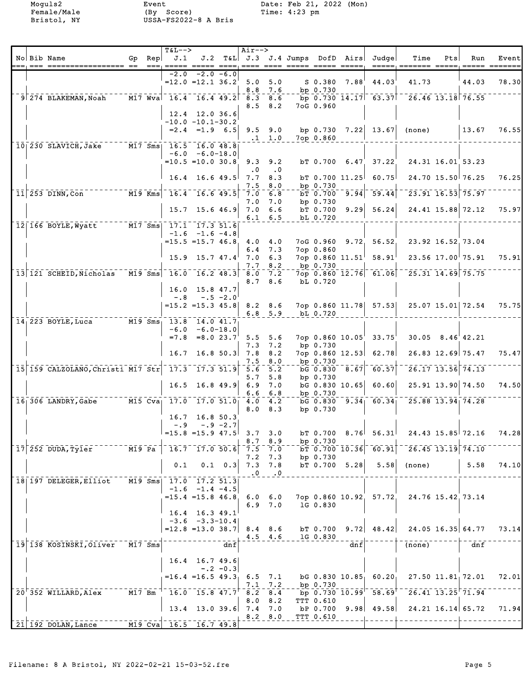|  |                                                                                                                         |        | <b>T&amp;L--&gt;</b>                        |                                      |                 | Air-->                |                  |                      |                                                      |                                                                        |                                                                  |     |                     |       |
|--|-------------------------------------------------------------------------------------------------------------------------|--------|---------------------------------------------|--------------------------------------|-----------------|-----------------------|------------------|----------------------|------------------------------------------------------|------------------------------------------------------------------------|------------------------------------------------------------------|-----|---------------------|-------|
|  | No Bib Name                                                                                                             |        | Gp $Rep   J.1$                              |                                      |                 |                       |                  |                      |                                                      | J.2 T&L J.3 J.4 Jumps DofD Airs Judge                                  | Time                                                             | Pts | Run                 | Event |
|  |                                                                                                                         |        | $=$ == $=$ $=$ === $=$ $=$                  |                                      |                 |                       |                  |                      |                                                      |                                                                        | ===== ======= ===== ===== ==                                     |     |                     |       |
|  |                                                                                                                         |        | $=12.0$ $=12.1$ $36.2$                      | $-2.0$ $-2.0$ $-6.0$                 |                 |                       |                  |                      |                                                      | S 0.380 7.88 44.03                                                     | 41.73                                                            |     | 44.03               | 78.30 |
|  |                                                                                                                         |        |                                             |                                      |                 | $5.0\quad 5.0$<br>8.8 | 7.6              | bp 0.730             |                                                      |                                                                        |                                                                  |     |                     |       |
|  | $9$ $274$ BLAKEMAN, Noah                                                                                                |        | $\overline{M17}$ Wva 16.4 16.4 49.2 8.3 8.6 |                                      |                 |                       |                  |                      |                                                      |                                                                        | $\frac{1}{26}$ 0.730 14.17 63.37 $\frac{1}{26}$ 6.46 13.18 76.55 |     |                     |       |
|  |                                                                                                                         |        |                                             |                                      |                 | 8.5                   | 8.2              | 7oG 0.960            |                                                      |                                                                        |                                                                  |     |                     |       |
|  |                                                                                                                         |        |                                             | $12.4$ 12.0 36.6                     |                 |                       |                  |                      |                                                      |                                                                        |                                                                  |     |                     |       |
|  |                                                                                                                         |        | $-10.0 - 10.1 - 30.2$                       |                                      |                 |                       |                  |                      |                                                      |                                                                        |                                                                  |     |                     |       |
|  |                                                                                                                         |        |                                             | $= 2.4$ $= 1.9$ 6.5 9.5 9.0          |                 |                       |                  |                      |                                                      | bp $0.730$ $7.22$ $13.67$                                              | (none)                                                           |     | 13.67               | 76.55 |
|  |                                                                                                                         |        |                                             |                                      |                 |                       | $.1 \quad 1.0$   | 7op 0.860            |                                                      |                                                                        |                                                                  |     |                     |       |
|  | 10 230 SLAVICH, Jake M17 Sms 16.5 16.0 48.8                                                                             |        |                                             |                                      |                 |                       |                  |                      |                                                      |                                                                        |                                                                  |     |                     |       |
|  |                                                                                                                         |        |                                             | $-6.0 - 6.0 - 18.0$                  |                 |                       |                  |                      |                                                      |                                                                        |                                                                  |     |                     |       |
|  |                                                                                                                         |        | $=10.5$ $=10.0$ $30.8$ 9.3                  |                                      |                 |                       | 9.2              |                      | $bT$ 0.700 6.47                                      | 37.22                                                                  | 24.31 16.01 53.23                                                |     |                     |       |
|  |                                                                                                                         |        |                                             |                                      |                 | $\cdot$ 0             | $\cdot$ 0        |                      |                                                      |                                                                        |                                                                  |     |                     |       |
|  |                                                                                                                         |        |                                             | $16.4$ 16.6 49.5 7.7                 |                 |                       | 8.3              |                      | $bT$ 0.700 11.25                                     | 60.75                                                                  |                                                                  |     | 24.70 15.50 76.25   | 76.25 |
|  |                                                                                                                         |        |                                             |                                      |                 | 7.5                   | 8.0              | bp 0.730             |                                                      |                                                                        |                                                                  |     |                     |       |
|  | $\overline{M19}$ Kms $\overline{16.4}$ $\overline{16.6}$ $\overline{49.5}$<br>$11 253$ DINN, Con                        |        |                                             |                                      |                 | 7.0                   | 6.8              |                      |                                                      | $\overline{5700}$ 9.94 59.44                                           | $23.91$ $16.53$ 75.97                                            |     |                     |       |
|  |                                                                                                                         |        |                                             | $15.7$ 15.6 46.9                     |                 | 7.0<br>$7.0\quad 6.6$ | 7.0              | bp 0.730<br>bT 0.700 |                                                      | $9.29$ 56.24                                                           |                                                                  |     | 24.41 15.88 72.12   | 75.97 |
|  |                                                                                                                         |        |                                             |                                      |                 |                       | $6.1 \quad 6.5$  | bL 0.720             |                                                      |                                                                        |                                                                  |     |                     |       |
|  | 12 166 BOYLE, Wyatt M17 Sms 17.1 17.3 51.6                                                                              |        |                                             |                                      |                 |                       |                  |                      |                                                      |                                                                        |                                                                  |     |                     |       |
|  |                                                                                                                         |        |                                             | $-1.6$ $-1.6$ $-4.8$                 |                 |                       |                  |                      |                                                      |                                                                        |                                                                  |     |                     |       |
|  |                                                                                                                         |        | $= 15.5 = 15.7 46.8 4.0 4.0$                |                                      |                 |                       |                  |                      |                                                      | 7oG 0.960 9.72 56.52                                                   | 23.92 16.52 73.04                                                |     |                     |       |
|  |                                                                                                                         |        |                                             |                                      |                 |                       | $6.4$ 7.3        | 7op 0.860            |                                                      |                                                                        |                                                                  |     |                     |       |
|  |                                                                                                                         |        |                                             | $15.9$ $15.7$ $47.4$ $7.0$           |                 |                       | 6.3              |                      |                                                      | 7op 0.860 $11.51^{\dagger}$ 58.91                                      |                                                                  |     | 23.56 17.00 75.91   | 75.91 |
|  |                                                                                                                         |        |                                             |                                      |                 | 7.7                   | 8.2              | bp 0.730             |                                                      |                                                                        |                                                                  |     |                     |       |
|  | $13$ 121 SCHEID, Nicholas M19 Sms 16.0 16.2 48.3 8.0                                                                    |        |                                             |                                      |                 |                       | 7.2              |                      |                                                      |                                                                        | 7op 0.860 12.76 61.06 25.31 14.69 75.75                          |     |                     |       |
|  |                                                                                                                         |        |                                             |                                      |                 |                       | 8.78.6           | bL 0.720             |                                                      |                                                                        |                                                                  |     |                     |       |
|  |                                                                                                                         |        |                                             | $16.0$ 15.8 47.7                     |                 |                       |                  |                      |                                                      |                                                                        |                                                                  |     |                     |       |
|  |                                                                                                                         |        | $-.8$                                       |                                      | $-.5 -2.0$      |                       |                  |                      |                                                      |                                                                        |                                                                  |     | 25.07 15.01 72.54   | 75.75 |
|  |                                                                                                                         |        | $= 15.2$ $= 15.3$ 45.8 8.2 8.6              |                                      |                 |                       | $6.8$ 5.9        | bL 0.720             |                                                      | 7op 0.860 11.78 57.53                                                  |                                                                  |     |                     |       |
|  | $14\overline{)223}$ BOYLE, Luca $14\overline{)3\overline{)5\overline{0}}\overline{13.8}}$ $14.0$ $41.7\overline{)14.0}$ |        |                                             |                                      |                 |                       |                  |                      |                                                      |                                                                        |                                                                  |     |                     |       |
|  |                                                                                                                         |        |                                             | $-6.0 - 6.0 - 18.0$                  |                 |                       |                  |                      |                                                      |                                                                        |                                                                  |     |                     |       |
|  |                                                                                                                         |        |                                             | $=7.8$ $=8.0$ $23.7^{\circ}$ 5.5     |                 |                       | 5.6              |                      | $7$ op $0.860$ $10.05$                               | 33.75                                                                  | $30.05$ $8.46$ $42.21$                                           |     |                     |       |
|  |                                                                                                                         |        |                                             |                                      |                 | 7.3                   | 7.2              | bp 0.730             |                                                      |                                                                        |                                                                  |     |                     |       |
|  |                                                                                                                         |        | 16.7                                        |                                      |                 | $16.8$ 50.3 7.8       | 8.2              |                      | $7$ op 0.860 12.53                                   | 62.78                                                                  |                                                                  |     | 26.83 12.69 75.47   | 75.47 |
|  |                                                                                                                         |        |                                             |                                      |                 | 7.5                   | 8.0              | bp 0.730             |                                                      |                                                                        |                                                                  |     |                     |       |
|  | 15 159 CALZOLANO, Christi M17 Str                                                                                       |        | $17.3$ $17.3$ $51.9$                        |                                      |                 | 5.6                   | $\overline{5.2}$ |                      | $\overline{bG}$ $\overline{0.830}$ $\overline{8.67}$ | 60.57                                                                  | $\frac{26.17}{13.56}$ 74.13                                      |     |                     |       |
|  |                                                                                                                         |        |                                             |                                      |                 | 5.7                   | 5.8              | bp 0.730             |                                                      |                                                                        |                                                                  |     |                     |       |
|  |                                                                                                                         |        | 16.5                                        | $16.8$ 49.9                          |                 | 6.9                   | 7.0              |                      | $bG$ 0.830 10.65                                     | 60.60                                                                  |                                                                  |     | $25.91$ 13.90 74.50 | 74.50 |
|  |                                                                                                                         |        |                                             |                                      |                 | 6.6                   | 6.8              | bp 0.730             |                                                      |                                                                        |                                                                  |     |                     |       |
|  |                                                                                                                         |        |                                             |                                      |                 | 4.0<br>8.0            | 4.2<br>8.3       | bp 0.730             |                                                      | $\overline{6}$ $\overline{0.830}$ $\overline{9.34}$ $\overline{60.34}$ | 25.88 13.94 74.28                                                |     |                     |       |
|  |                                                                                                                         |        |                                             | $16.7$ 16.8 50.3                     |                 |                       |                  |                      |                                                      |                                                                        |                                                                  |     |                     |       |
|  |                                                                                                                         |        | $-.9$                                       |                                      | $-.9 - 2.7$     |                       |                  |                      |                                                      |                                                                        |                                                                  |     |                     |       |
|  |                                                                                                                         |        | $=15.8$ $=15.9$ 47.5                        |                                      |                 | 3.7                   | 3.0              | bT 0.700             |                                                      | $8.76$ 56.31                                                           | 24.43 15.85 72.16                                                |     |                     | 74.28 |
|  |                                                                                                                         |        |                                             |                                      |                 | 8.7                   | 8.9              | bp 0.730             |                                                      |                                                                        |                                                                  |     |                     |       |
|  | 17 252 DUDA, Tyler M19 Pa                                                                                               |        |                                             | $16.7$ 17.0 50.6                     |                 | $-7.5 - 7.0$          |                  |                      | bT 0.700 10.36                                       | 60.91                                                                  | $\sqrt{26.45}$ 13.19 $\sqrt{74.10}$                              |     |                     |       |
|  |                                                                                                                         |        |                                             |                                      |                 | 7.2                   | 7.3              | bp 0.730             |                                                      |                                                                        |                                                                  |     |                     |       |
|  |                                                                                                                         |        | 0.1                                         |                                      | $0.1 \quad 0.3$ |                       | $7.3$ $7.8$      | $bT$ 0.700 5.28      |                                                      | 5.58                                                                   | (none)                                                           |     | 5.58                | 74.10 |
|  |                                                                                                                         |        |                                             |                                      |                 | $\cdot$ 0             | $\cdot$ 0        |                      |                                                      |                                                                        |                                                                  |     |                     |       |
|  | 18 197 DELEGER, Elliot                                                                                                  |        | M19 Sms  17.0 17.2 51.3                     |                                      |                 |                       |                  |                      |                                                      |                                                                        |                                                                  |     |                     |       |
|  |                                                                                                                         |        |                                             | $-1.6 -1.4 -4.5$                     |                 |                       |                  |                      |                                                      |                                                                        |                                                                  |     |                     |       |
|  |                                                                                                                         |        | $= 15.4$ $= 15.8$ 46.8, 6.0 6.0             |                                      |                 |                       |                  |                      |                                                      |                                                                        | 7op 0.860 10.92, 57.72, 24.76 15.42, 73.14                       |     |                     |       |
|  |                                                                                                                         |        |                                             |                                      |                 |                       | $6.9$ $7.0$      | 1G 0.830             |                                                      |                                                                        |                                                                  |     |                     |       |
|  |                                                                                                                         |        |                                             | 16.4 16.3 49.1<br>$-3.6 -3.3 - 10.4$ |                 |                       |                  |                      |                                                      |                                                                        |                                                                  |     |                     |       |
|  |                                                                                                                         |        | $=12.8$ =13.0 38.7 8.4 8.6                  |                                      |                 |                       |                  | bT 0.700             |                                                      | $9.72$ 48.42                                                           |                                                                  |     | 24.05 16.35 64.77   | 73.14 |
|  |                                                                                                                         |        |                                             |                                      |                 |                       | $4.5$ $4.6$      | 1G 0.830             |                                                      |                                                                        |                                                                  |     |                     |       |
|  | 19 138 KOSINSKI, Oliver M17 Sms                                                                                         |        |                                             |                                      | dnf             |                       |                  |                      | dnf                                                  |                                                                        | (none)                                                           |     | dnf                 |       |
|  |                                                                                                                         |        |                                             |                                      |                 |                       |                  |                      |                                                      |                                                                        |                                                                  |     |                     |       |
|  |                                                                                                                         |        |                                             | $16.4$ 16.7 49.6                     |                 |                       |                  |                      |                                                      |                                                                        |                                                                  |     |                     |       |
|  |                                                                                                                         |        |                                             |                                      | $-.2 - 0.3$     |                       |                  |                      |                                                      |                                                                        |                                                                  |     |                     |       |
|  |                                                                                                                         |        | $=16.4$ $=16.5$ $49.3$                      |                                      |                 | 6.5                   | 7.1              |                      | DG 0.830 10.85                                       | 60.20                                                                  | 27.50 11.81 72.01                                                |     |                     | 72.01 |
|  |                                                                                                                         |        |                                             |                                      |                 |                       | $7.1$ $7.2$      | bp 0.730             |                                                      |                                                                        |                                                                  |     |                     |       |
|  | 20 352 WILLARD, Alex                                                                                                    | M17 Bm |                                             | $16.0$ $15.8$ $47.7'$                |                 | 8.2                   | 8.4              |                      | $\bar{p}$ bp $\bar{0.730}$ $\bar{10.99}$             | 58.69                                                                  | $26.41$ $13.25$ $71.94$                                          |     |                     |       |
|  |                                                                                                                         |        |                                             |                                      |                 | 8.0                   | 8.2              | TTT 0.610            |                                                      |                                                                        |                                                                  |     |                     |       |
|  |                                                                                                                         |        |                                             | $13.4$ 13.0 39.6 7.4 7.0             |                 |                       |                  |                      |                                                      | $bP$ 0.700 9.98 49.58                                                  |                                                                  |     | 24.21 16.14 65.72   | 71.94 |
|  | $\lceil 21 \rceil 192 \text{ DOLAN, Lance}$ $\lceil 21 \rceil 16.5 \rceil 16.7 \rceil 49.8 \rceil$                      |        |                                             |                                      |                 |                       | 8.2 8.0          | TTT 0.610            |                                                      |                                                                        |                                                                  |     |                     |       |
|  |                                                                                                                         |        |                                             |                                      |                 |                       |                  |                      |                                                      |                                                                        |                                                                  |     |                     |       |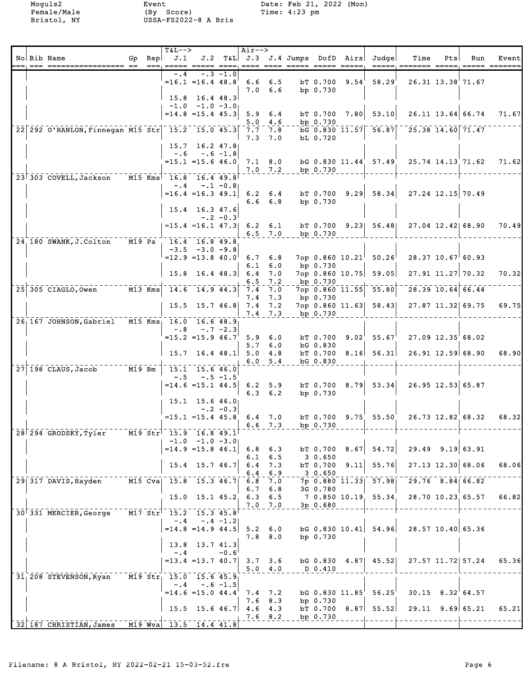|  |                                                            |        | T&L-->                          |                                                   |             | Air-->          |                               |                                  |                                       |                               |               |                            |       |
|--|------------------------------------------------------------|--------|---------------------------------|---------------------------------------------------|-------------|-----------------|-------------------------------|----------------------------------|---------------------------------------|-------------------------------|---------------|----------------------------|-------|
|  | No Bib Name                                                |        | Gp Rep $\vert$ J.1<br>$==$ $==$ |                                                   |             |                 |                               | ==== ==== ===== ===== =====      | J.2 T&L J.3 J.4 Jumps DofD Airs Judge | Time                          | Pts<br>__ ___ | Run                        | Event |
|  |                                                            |        | $-4$                            |                                                   | $-.3 -1.0$  |                 |                               |                                  |                                       |                               |               |                            |       |
|  |                                                            |        |                                 | $=16.1$ $=16.4$ $48.8$                            |             |                 | $6.6$ $6.5$<br>$7.0\quad 6.6$ | bT 0.700 9.54<br>bp 0.730        | 58.29                                 |                               |               | 26.31 13.38 71.67          |       |
|  |                                                            |        |                                 | $15.8$ 16.4 48.3                                  |             |                 |                               |                                  |                                       |                               |               |                            |       |
|  |                                                            |        |                                 | $-1.0$ $-1.0$ $-3.0$<br>$= 14.8 = 15.4 45.3$      |             |                 | $5.9 \t6.4$                   | bT 0.700 7.80                    | 53.10                                 |                               |               | 26.11 13.64 66.74          | 71.67 |
|  | 22 292 O'HANLON, Finnegan M15 Str 15.2 15.0 45.3           |        |                                 |                                                   |             |                 | $5.0 \quad 4.6$<br>7.7 7.8    | bp 0.730                         | bG 0.830 11.57 56.87                  | $\frac{1}{25.38}$ 14.60 71.47 |               |                            |       |
|  |                                                            |        |                                 |                                                   |             | 7.3             | 7.0                           | bL 0.720                         |                                       |                               |               |                            |       |
|  |                                                            |        |                                 | $15.7$ 16.2 47.8<br>$-.6 - .6 - 1.8$              |             |                 |                               |                                  |                                       |                               |               |                            |       |
|  |                                                            |        |                                 | $=15.1$ $=15.6$ $46.0$                            |             |                 | $7.1 \t 8.0$                  |                                  | bG 0.830 11.44 57.49                  | 25.74 14.13 71.62             |               |                            | 71.62 |
|  | 23 303 COVELL, Jackson                                     |        | M15 Kms 16.8 16.4 49.8          |                                                   |             |                 | $7.0$ $7.2$                   | bp 0.730                         |                                       |                               |               |                            |       |
|  |                                                            |        | $-$ . 4                         | $=16.4$ = 16.3 49.1                               | $-.1 - 0.8$ |                 | $6.2 \quad 6.4$               |                                  | $bT$ 0.700 9.29 58.34                 | 27.24 12.15 70.49             |               |                            |       |
|  |                                                            |        |                                 |                                                   |             |                 | $6.6\quad 6.8$                | bp $0.730$                       |                                       |                               |               |                            |       |
|  |                                                            |        |                                 | 15.4 16.3 47.6                                    | $-.2 - 0.3$ |                 |                               |                                  |                                       |                               |               |                            |       |
|  |                                                            |        |                                 | $= 15.4$ = 16.1 47.3 6.2 6.1                      |             |                 |                               |                                  | bT 0.700 9.23 56.48 27.04 12.42 68.90 |                               |               |                            | 70.49 |
|  | $24,180$ SWANK, J. Colton                                  | M19 Pa | 16.4 16.8 49.8                  |                                                   |             |                 | $6.5$ $7.0$                   | bp 0.730                         |                                       |                               |               |                            |       |
|  |                                                            |        |                                 | $-3.5 -3.0 -9.8$<br>$=12.9$ = 13.8 40.0           |             |                 | $6.7 \quad 6.8$               |                                  | $7$ op 0.860 10.21 50.26              | $28.37$ 10.67 60.93           |               |                            |       |
|  |                                                            |        |                                 |                                                   |             | 6.1             | 6.0                           | bp 0.730                         |                                       |                               |               |                            |       |
|  |                                                            |        |                                 | $15.8$ 16.4 48.3                                  |             | 6.4<br>6.5      | 7.0<br>7.2                    | bp 0.730                         | 7op 0.860 10.75 59.05                 |                               |               | $27.91$ 11.27 70.32        | 70.32 |
|  | $25\overline{305}$ CIAGLO, Owen $\overline{M13}$ Kms       |        |                                 | $-14.6 - 14.9$ 44.3                               |             | 7.4<br>7.4      | 7.0                           | $7$ op 0.860 $11.55$<br>bp 0.730 | 55.80                                 |                               |               | $\sqrt{28.39}$ 10.64 66.44 |       |
|  |                                                            |        |                                 | $15.5$ 15.7 46.8 7.4                              |             |                 | 7.3<br>7.2                    |                                  | 7op 0.860 11.63 58.43                 |                               |               | 27.87 11.32 69.75          | 69.75 |
|  | 26 167 JOHNSON, Gabriel M15 Kms 16.0 16.6 48.9             |        |                                 |                                                   |             |                 | $7.4$ 7.3                     | bp 0.730                         |                                       |                               |               |                            |       |
|  |                                                            |        | $-0.8$                          |                                                   | $-.7 - 2.3$ |                 |                               |                                  |                                       |                               |               |                            |       |
|  |                                                            |        |                                 | $=15.2$ $=15.9$ 46.7                              |             | 5.7             | 5.9 6.0<br>6.0                | bT 0.700<br>bG 0.830             | $9.02^{\dagger}$ 55.67                | 27.09 12.35 68.02             |               |                            |       |
|  |                                                            |        | 15.7                            |                                                   |             | $16.4$ 48.1 5.0 | 4.8<br>6.0 5.4                | bG 0.830                         | $bT$ 0.700 8.16 56.31                 |                               |               | $26.91$ 12.59 68.90        | 68.90 |
|  | $27 \mid 198$ CLAUS, Jacob M19 Bm                          |        |                                 | 15.1 15.6 46.0                                    |             |                 |                               |                                  |                                       |                               |               |                            |       |
|  |                                                            |        | $- 0.5 -$                       | $=14.6$ = 15.1 44.5 6.2 5.9                       | $-.5 -1.5$  |                 |                               |                                  | $bT$ 0.700 8.79 53.34                 | 26.95 12.53 65.87             |               |                            |       |
|  |                                                            |        |                                 | $15.1$ 15.6 46.0                                  |             |                 | $6.3$ $6.2$                   | bp $0.730$                       |                                       |                               |               |                            |       |
|  |                                                            |        |                                 |                                                   | $-.2 - 0.3$ |                 |                               |                                  |                                       |                               |               |                            |       |
|  |                                                            |        |                                 | $=15.1$ $=15.4$ $45.8$                            |             |                 | $6.4$ 7.0<br>$6.6$ 7.3        | bp 0.730                         | $bT$ 0.700 9.75 55.50                 |                               |               | 26.73 12.82 68.32          | 68.32 |
|  | 28 294 GRODSKY, Tyler M19 Str 15.9 16.8 49.1               |        |                                 |                                                   |             |                 |                               |                                  |                                       |                               |               |                            |       |
|  |                                                            |        |                                 | $-1.0$ $-1.0$ $-3.0$<br>$=14.9$ $=15.8$ 46.1      |             |                 | $6.8$ $6.3$                   | bT 0.700 8.67                    |                                       | $54.72$ 29.49 9.19 63.91      |               |                            |       |
|  |                                                            |        |                                 | $15.4$ 15.7 46.7                                  |             | 6.1<br>6.4      | 6.5<br>7.3                    | 3 0.650<br>bT 0.700 9.11         | 55.76                                 |                               |               | $27.13$ 12.30 68.06        | 68.06 |
|  |                                                            |        |                                 |                                                   |             | 6.4             | 6.9                           | $-2 - 3 - 0.650$                 |                                       |                               |               |                            |       |
|  | 29 317 DAVIS, Hayden                                       |        | M15 Cva  15.8  15.3  46.7       |                                                   |             | 6.8<br>6.7      | 7.0<br>6.8                    | 3G 0.780                         | 7p 0.880 11.33 57.98 29.76 8.84 66.82 |                               |               |                            |       |
|  |                                                            |        |                                 | 15.0 15.1 45.2 6.3 6.5                            |             |                 |                               |                                  | 7 0.850 10.19 55.34 28.70 10.23 65.57 |                               |               |                            | 66.82 |
|  | 30 331 MERCIER, George M17 Str <sup>1</sup> 15.2 15.3 45.8 |        |                                 |                                                   |             |                 | 7.0 7.0                       | 3p 0.680                         |                                       |                               |               |                            |       |
|  |                                                            |        |                                 | $-.4 - .4 - 1.2$<br>$=14.8$ = 14.9 44.5 5.2 6.0   |             |                 |                               |                                  | $bG$ 0.830 10.41 54.96                | 28.57 10.40 65.36             |               |                            |       |
|  |                                                            |        |                                 |                                                   |             |                 | $7.8\quad 8.0$                | bp $0.730$                       |                                       |                               |               |                            |       |
|  |                                                            |        | $-.4$                           | 13.8 13.7 41.3                                    | $-0.6$      |                 |                               |                                  |                                       |                               |               |                            |       |
|  |                                                            |        |                                 | $= 13.4$ $= 13.7$ $40.7$ 3.7 3.6                  |             |                 | 5.04.0                        | D 0.410                          | bG 0.830 4.87 45.52                   |                               |               | 27.57 11.72 57.24          | 65.36 |
|  | 31, 208 STEVENSON, Ryan M19 Str, 15.0 15.6 45.9            |        |                                 |                                                   |             |                 |                               |                                  |                                       |                               |               |                            |       |
|  |                                                            |        |                                 | $-.4 - .6 - 1.5$<br>$= 14.6 = 15.0 44.4' 7.4 7.2$ |             |                 |                               | $bG$ $0.830$ $11.85$             | 56.25                                 |                               |               | $30.15$ $8.32$ 64.57       |       |
|  |                                                            |        |                                 | $15.5$ $15.6$ $46.7$ $4.6$ $4.3$                  |             | 7.6             | 8.3                           | bp 0.730                         | $bT$ 0.700 8.87 55.52                 |                               |               | $29.11$ $9.69$ 65.21       | 65.21 |
|  |                                                            |        |                                 |                                                   |             |                 | $7.6$ 8.2                     | bp 0.730                         |                                       |                               |               |                            |       |
|  | $\sqrt{32}$ 187 CHRISTIAN, James M19 Wva 13.5 14.4 41.8    |        |                                 |                                                   |             |                 |                               |                                  |                                       |                               |               |                            |       |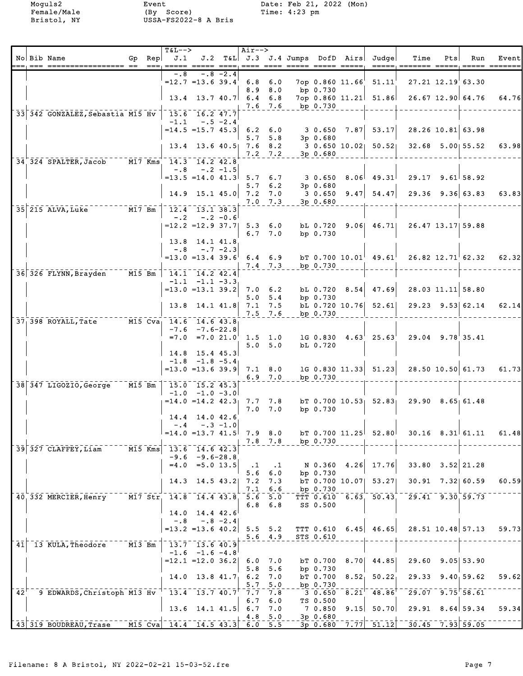|     |                                                      |                     |           | T&L-->                                                           |                                                         |             | Air-->                              |             |                     |                    |                                           |                                                        |     |                         |                         |
|-----|------------------------------------------------------|---------------------|-----------|------------------------------------------------------------------|---------------------------------------------------------|-------------|-------------------------------------|-------------|---------------------|--------------------|-------------------------------------------|--------------------------------------------------------|-----|-------------------------|-------------------------|
|     | No Bib Name                                          |                     |           | Gp $Rep$ $J.1$<br>$=$ == $\overline{=}$ ===== $\overline{=}$ ==: |                                                         |             |                                     |             |                     |                    | J.2 T&L J.3 J.4 Jumps DofD Airs Judge     | Time                                                   | Pts | Run                     | Event                   |
|     |                                                      |                     |           | $-0.8$                                                           |                                                         | -.8 -2.4    |                                     |             |                     |                    |                                           |                                                        |     |                         |                         |
|     |                                                      |                     |           |                                                                  | $=12.7$ =13.6 39.4                                      |             | $6.8\quad 6.0$                      |             |                     | 7op 0.860 11.66    | 51.11                                     | 27.21 12.19 63.30                                      |     |                         |                         |
|     |                                                      |                     |           |                                                                  |                                                         |             |                                     | 8.9 8.0     | bp 0.730            |                    |                                           |                                                        |     |                         |                         |
|     |                                                      |                     |           |                                                                  | $13.4$ 13.7 40.7 6.4                                    |             |                                     | 6.8         | bp 0.730            |                    | $7op 0.860 11.21$ 51.86                   | 26.67 12.90 64.76                                      |     |                         | 64.76                   |
|     | 33 342 GONZALEZ, Sebastia M15 Hv                     |                     |           |                                                                  | 15.6 16.2 47.7                                          |             |                                     | 7.6 7.6     |                     |                    |                                           |                                                        |     |                         |                         |
|     |                                                      |                     |           |                                                                  | $-1.1 - .5 - 2.4$                                       |             |                                     |             |                     |                    |                                           |                                                        |     |                         |                         |
|     |                                                      |                     |           |                                                                  | $= 14.5 = 15.7 45.3$ 6.2 6.0                            |             |                                     |             |                     | $3\,0.650\,7.87$   | 53.17                                     | 28.26 10.81 63.98                                      |     |                         |                         |
|     |                                                      |                     |           |                                                                  | $13.4$ 13.6 40.5 7.6 8.2                                |             |                                     | 5.7, 5.8    | 3p 0.680            |                    | 3 0.650 10.02 50.52                       |                                                        |     | 32.68 5.00 55.52        | 63.98                   |
|     |                                                      |                     |           |                                                                  |                                                         |             |                                     | $7.2$ $7.2$ | $3p$ 0.680          |                    |                                           |                                                        |     |                         |                         |
|     | 34 324 SPALTER, Jacob M17 Kms 14.3 14.2 42.8         |                     |           |                                                                  |                                                         |             |                                     |             |                     |                    |                                           |                                                        |     |                         |                         |
|     |                                                      |                     |           | $-.8$                                                            |                                                         | $-.2 -1.5$  |                                     |             |                     |                    |                                           |                                                        |     |                         |                         |
|     |                                                      |                     |           | $=13.5$ $=14.0$ $41.3$ 5.7 6.7                                   |                                                         |             | 5.7                                 | 6.2         | 3 0.650<br>3p 0.680 |                    | $8.06$ 49.31                              | $29.17$ $9.61$ 58.92                                   |     |                         |                         |
|     |                                                      |                     |           |                                                                  |                                                         |             |                                     |             |                     |                    | 14.9 15.1 45.0 7.2 7.0 3 0.650 9.47 54.47 |                                                        |     | $29.36$ $9.36$ 63.83    | 63.83                   |
|     |                                                      |                     |           |                                                                  |                                                         |             |                                     | $7.0$ $7.3$ | $3p$ 0.680          |                    |                                           |                                                        |     |                         |                         |
|     | 35 215 ALVA, Luke 777-78 M17 Bm                      |                     |           | $-12.4 - 13.1$ 38.3                                              |                                                         |             |                                     |             |                     |                    |                                           |                                                        |     |                         |                         |
|     |                                                      |                     |           | $-2$                                                             | $=12.2$ $=12.9$ 37.7 5.3 6.0                            | $-.2 - 0.6$ |                                     |             |                     |                    | bL 0.720 9.06 46.71                       | 26.47 13.17 59.88                                      |     |                         |                         |
|     |                                                      |                     |           |                                                                  |                                                         |             |                                     | 6.7, 7.0    | bp 0.730            |                    |                                           |                                                        |     |                         |                         |
|     |                                                      |                     |           |                                                                  | 13.8 14.1 41.8                                          |             |                                     |             |                     |                    |                                           |                                                        |     |                         |                         |
|     |                                                      |                     |           |                                                                  | $-.8 - .7 - 2.3$<br>$= 13.0 = 13.4$ 39.6 6.4 6.9        |             |                                     |             |                     |                    | $bT$ 0.700 10.01 49.61                    |                                                        |     |                         |                         |
|     |                                                      |                     |           |                                                                  |                                                         |             | $7.4$ $7.3$                         |             | bp 0.730            |                    |                                           |                                                        |     | $26.82$ $12.71$ $62.32$ | 62.32                   |
|     | 36 326 FLYNN, Brayden                                | $\overline{M15}$ Bm |           | $14.1$ $14.2$ $42.4$                                             |                                                         |             |                                     |             |                     |                    |                                           |                                                        |     |                         |                         |
|     |                                                      |                     |           |                                                                  | $-1.1$ $-1.1$ $-3.3$                                    |             |                                     |             |                     |                    |                                           |                                                        |     |                         |                         |
|     |                                                      |                     |           |                                                                  | $=13.0$ =13.1 39.2                                      |             | $7.0 \t6.2$                         | 5.0 5.4     | bp 0.730            |                    | bL 0.720 8.54 47.69                       | 28.03 11.11 58.80                                      |     |                         |                         |
|     |                                                      |                     |           |                                                                  | $13.8$ 14.1 41.8 7.1 7.5                                |             |                                     |             |                     |                    | $bL$ 0.720 10.76 52.61                    |                                                        |     | $29.23$ $9.53$ 62.14    | 62.14                   |
|     |                                                      |                     |           |                                                                  |                                                         |             | $7.5$ 7.6                           |             | bp 0.730            |                    |                                           |                                                        |     |                         |                         |
|     | 37 398 ROYALL, Tate M15 Cva 14.6 14.6 43.8           |                     |           |                                                                  |                                                         |             |                                     |             |                     |                    |                                           |                                                        |     |                         |                         |
|     |                                                      |                     |           |                                                                  | $-7.6$ $-7.6$ -22.8<br>$=7.0$ $=7.0$ $21.0$ $1.5$ $1.0$ |             |                                     |             |                     |                    | $1G$ 0.830 $4.63$ 25.63                   | 29.04 9.78 35.41                                       |     |                         |                         |
|     |                                                      |                     |           |                                                                  |                                                         |             |                                     | 5.0 5.0     | bL 0.720            |                    |                                           |                                                        |     |                         |                         |
|     |                                                      |                     |           |                                                                  | $14.8$ 15.4 45.3                                        |             |                                     |             |                     |                    |                                           |                                                        |     |                         |                         |
|     |                                                      |                     |           |                                                                  | $-1.8$ $-1.8$ $-5.4$                                    |             |                                     |             |                     |                    |                                           |                                                        |     |                         |                         |
|     |                                                      |                     |           |                                                                  | $=13.0$ = 13.6 39.9                                     |             | $7.1$ 8.0                           | $6.9$ $7.0$ | bp 0.730            |                    | IG 0.830 11.33   51.23                    |                                                        |     |                         | 28.50 10.50 61.73 61.73 |
|     | 38 347 LIGOZIO, George M15 Bm                        |                     |           | $15.0$ 15.2 45.3                                                 |                                                         |             |                                     |             |                     |                    |                                           |                                                        |     |                         |                         |
|     |                                                      |                     |           |                                                                  | $-1.0$ $-1.0$ $-3.0$                                    |             |                                     |             |                     |                    |                                           |                                                        |     |                         |                         |
|     |                                                      |                     |           |                                                                  | $= 14.0$ $= 14.2$ $42.3$ 7.7 7.8                        |             |                                     |             |                     |                    | bT $0.700$ $10.53$ $52.83$                | $29.90$ $8.65$ 61.48                                   |     |                         |                         |
|     |                                                      |                     |           |                                                                  | 14.4 14.0 42.6                                          |             |                                     | $7.0$ $7.0$ | bp 0.730            |                    |                                           |                                                        |     |                         |                         |
|     |                                                      |                     |           |                                                                  | $-.4 - .3 - 1.0$                                        |             |                                     |             |                     |                    |                                           |                                                        |     |                         |                         |
|     |                                                      |                     |           | $=14.0$ =13.7 41.5 7.9 8.0                                       |                                                         |             |                                     |             |                     |                    | bT $0.700$ 11.25 52.80                    | $30.16$ $8.31$ $61.11$                                 |     |                         | 61.48                   |
|     | 39 327 CLAFFEY, Liam                                 |                     | $M15$ Kms | 13.6 14.6 42.3                                                   |                                                         |             | $7.8$ 7.8                           |             | bp 0.730            |                    |                                           |                                                        |     |                         |                         |
|     |                                                      |                     |           |                                                                  | $-9.6 - 9.6 - 28.8$                                     |             |                                     |             |                     |                    |                                           |                                                        |     |                         |                         |
|     |                                                      |                     |           |                                                                  | $=4.0$ =5.0 13.5                                        |             | $\cdot$ 1                           | $\cdot$ 1   | N 0.360             | 4.26               | 17.76                                     | 33.80                                                  |     | $3.52$ 21.28            |                         |
|     |                                                      |                     |           |                                                                  |                                                         |             | 5.6                                 | 6.0         | bp 0.730            |                    |                                           |                                                        |     |                         |                         |
|     |                                                      |                     |           | 14.3                                                             | $14.5$ $43.2$                                           |             | 7.2<br>7.1                          | 7.3<br>6.6  | bp 0.730            | $bT$ 0.700 10.07   | 53.27                                     | 30.91 7.32 60.59                                       |     |                         | 60.59                   |
|     | 40 332 MERCIER, Henry                                |                     |           | M17 Str 14.8 14.4 43.8                                           |                                                         |             | $5.\overline{6}$                    | 5.0         |                     |                    | TTT $0.610 - 6.63 - 50.43$                | $29.41$ $9.30$ $59.73$                                 |     |                         |                         |
|     |                                                      |                     |           |                                                                  |                                                         |             | 6.8                                 | 6.8         | SS 0.500            |                    |                                           |                                                        |     |                         |                         |
|     |                                                      |                     |           |                                                                  | 14.0 14.4 42.6                                          |             |                                     |             |                     |                    |                                           |                                                        |     |                         |                         |
|     |                                                      |                     |           | $-0.8$                                                           | $= 13.2$ $= 13.6$ 40.2 5.5 5.2                          | $-.8 - 2.4$ |                                     |             | <b>TTT 0.610</b>    |                    | $6.45$ 46.65                              |                                                        |     | 28.51 10.48 57.13       | 59.73                   |
|     |                                                      |                     |           |                                                                  |                                                         |             |                                     | $5.6 \t4.9$ | STS 0.610           |                    |                                           |                                                        |     |                         |                         |
| 41  | 13 KULA, Theodore                                    | M13 Bm              |           |                                                                  | $13.7 - 13.6$ 40.9                                      |             |                                     |             |                     |                    |                                           |                                                        |     |                         |                         |
|     |                                                      |                     |           |                                                                  | $-1.6$ $-1.6$ $-4.8$<br>$=12.1$ $=12.0$ 36.2            |             |                                     |             | bT 0.700            | 8.70               | 44.85                                     | 29.60                                                  |     | $9.05$ 53.90            |                         |
|     |                                                      |                     |           |                                                                  |                                                         |             | 6.0<br>5.8                          | 7.0<br>5.6  | bp 0.730            |                    |                                           |                                                        |     |                         |                         |
|     |                                                      |                     |           |                                                                  | $14.0$ 13.8 $41.7$                                      |             | 6.2                                 | 7.0         | bT 0.700            | 8.52 <sub>1</sub>  | $50.22_1$                                 | 29.33                                                  |     | 9.40, 59.62             | 59.62                   |
|     |                                                      |                     |           |                                                                  |                                                         |             | 5.7                                 | 5.0         | bp 0.730            |                    |                                           |                                                        |     |                         |                         |
| 42' | 9 EDWARDS, Christoph M13 Hv                          |                     |           |                                                                  | $13.4$ $13.7$ $40.7$                                    |             | 7.7<br>6.7                          | 7.8<br>6.0  | 3 0.650<br>TS 0.500 | $\bar{8}.\bar{21}$ | $-48.86$ <sup>T</sup>                     | $\frac{1}{29.07}$ 9.75 58.61                           |     |                         |                         |
|     |                                                      |                     |           |                                                                  | $13.6$ 14.1 41.5 6.7                                    |             |                                     | 7.0         | 7 0.850             | 9.15               | 50.70                                     | 29.91 8.64 59.34                                       |     |                         | 59.34                   |
|     |                                                      |                     |           |                                                                  |                                                         |             | $\boldsymbol{4}$ . $\boldsymbol{8}$ | 5.0         | $3p$ 0.680          |                    |                                           |                                                        |     |                         |                         |
|     | $143$ 319 BOUDREAU, Trase M15 Cva 14.4 14.5 43.3 6.0 |                     |           |                                                                  |                                                         |             |                                     | 5.5         | $3p$ 0.680          |                    |                                           | $7.77$ <sup>-</sup> 51.12 <sup>-30.45</sup> 7.93 59.05 |     |                         |                         |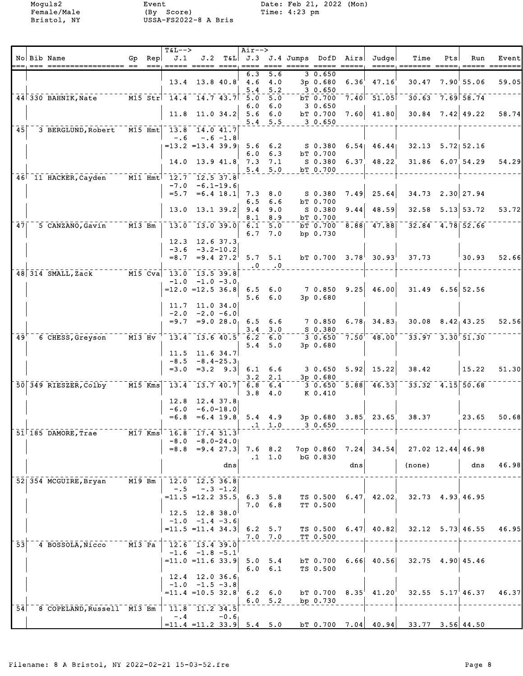|                 |                                             |                                   |        | <b>T&amp;L--&gt;</b>                                           |                                        |               | Air-->            |                                     |                               |       |                                                             |                        |     |                              |       |
|-----------------|---------------------------------------------|-----------------------------------|--------|----------------------------------------------------------------|----------------------------------------|---------------|-------------------|-------------------------------------|-------------------------------|-------|-------------------------------------------------------------|------------------------|-----|------------------------------|-------|
|                 | No Bib Name                                 |                                   | Gp Rep | J.1<br>=== ===== ===                                           |                                        |               |                   |                                     |                               |       | J.2 T&L J.3 J.4 Jumps DofD Airs Judge                       | Time                   | Pts | Run<br>______ __             | Event |
|                 |                                             |                                   |        |                                                                | $13.4$ 13.8 40.8                       |               | 6.3<br>4.6<br>5.4 | 5.6<br>4.0<br>5.2                   | 3 0.650<br>3p 0.680<br>30.650 | 6.36' | 47.16                                                       |                        |     | 30.47 7.90 55.06             | 59.05 |
|                 | $44$ 330 BAHNIK, Nate                       |                                   |        | $\overline{M15 \, Str}$ 14.4 14.7 43.7                         |                                        |               | 5.0               | 5.0                                 | bT 0.700                      |       | $7.40$ $51.05$                                              |                        |     | $\frac{1}{30.63}$ 7.69 58.74 |       |
|                 |                                             |                                   |        |                                                                | $11.8$ 11.0 34.2                       |               | 6.0<br>5.6        | 6.0<br>6.0<br>5.4 5.5               | 3 0.650<br>bT 0.700<br>30.650 | 7.60  | 41.80                                                       |                        |     | $30.84$ $7.42$ $49.22$       | 58.74 |
| 45 <sub>1</sub> | 3 BERGLUND, Robert                          |                                   |        | M15 Hmt 13.8 14.0 41.7                                         |                                        |               |                   |                                     |                               |       |                                                             |                        |     |                              |       |
|                 |                                             |                                   |        | $-.6$<br>$= 13.2$ $= 13.4$ 39.9                                |                                        | $-.6 - 1.8$   | 5.6<br>6.0        | 6.2<br>6.3                          | S 0.380<br>bT 0.700           | 6.54  | 46.441                                                      |                        |     | $32.13$ $5.72$ $52.16$       |       |
|                 |                                             |                                   |        |                                                                | 14.0 13.9 41.8                         |               | 7.3               | 7.1<br>5.4 5.0                      | S 0.380<br>bT 0.700           | 6.37  | 48.22                                                       |                        |     | $31.86$ 6.07 54.29           | 54.29 |
|                 | 46 11 HACKER, Cayden                        |                                   |        | M11 Hmt 12.7 12.5 37.8                                         |                                        |               |                   |                                     |                               |       |                                                             |                        |     |                              |       |
|                 |                                             |                                   |        | $-7.0$<br>$= 5.7$                                              | $=6.4$ 18.1                            | $-6.1 - 19.6$ | 6.5               | $7.3$ 8.0<br>6.6                    | S 0.380<br>bT 0.700           | 7.49  | 25.64                                                       |                        |     | 34.73 2.30 27.94             |       |
|                 |                                             |                                   |        | 13.0                                                           |                                        | $13.1$ $39.2$ | 9.4<br>8.1        | 9.0<br>8.9                          | S 0.380<br>bT 0.700           | 9.44  | 48.59                                                       |                        |     | $32.58$ $5.13$ $53.72$       | 53.72 |
| 47              | 5 CANZANO, Gavin                            | $M13$ Bm                          |        | $\begin{bmatrix} 13.0 & 13.0 & 39.0 & 6.1 & 5.0 \end{bmatrix}$ |                                        |               | 6.7               | 7.0                                 | bp 0.730                      |       | $b$ $\overline{0.700}$ $\overline{8.88}$ $\overline{47.88}$ | $-32.84$ $-4.78$ 52.66 |     |                              |       |
|                 |                                             |                                   |        |                                                                | 12.3 12.6 37.3<br>$-3.6 -3.2 - 10.2$   |               |                   |                                     |                               |       |                                                             |                        |     |                              |       |
|                 |                                             |                                   |        | $= 8.7$                                                        | $=9.4$ 27.2                            |               |                   | 5.7, 5.1<br>$\cdot 0 \quad \cdot 0$ |                               |       | bT $0.700$ $3.78$ <sup>1</sup> $30.93$ <sup>1</sup>         | 37.73                  |     | 30.93                        | 52.66 |
|                 | $48$ 314 SMALL, Zack                        |                                   |        | $\overline{M15}$ $\overline{C}$ va 13.0 13.5 39.8<br>$-1.0$    |                                        | $-1.0 -3.0$   |                   |                                     |                               |       |                                                             |                        |     |                              |       |
|                 |                                             |                                   |        | $=12.0$ =12.5 36.8                                             |                                        |               | $6.5\quad 6.0$    | $5.6\quad 6.0$                      | 7 0.850 9.25<br>3p 0.680      |       | 46.00                                                       |                        |     | $31.49$ 6.56 52.56           |       |
|                 |                                             |                                   |        | $-2.0$                                                         | $11.7$ 11.0 34.0<br>$-2.0 - 6.0$       |               |                   |                                     |                               |       |                                                             |                        |     |                              |       |
|                 |                                             |                                   |        | $= 9.7$                                                        |                                        | $= 9.028.0$   | 3.4               | $6.5\quad 6.6$<br>3.0               | 7 0.850<br>$S$ 0.380          |       | $6.78$ 34.83                                                |                        |     | $30.08$ $8.42$ $43.25$       | 52.56 |
| 49'             | 6 CHESS, Greyson                            | $ \overline{M13}$ $\overline{Hv}$ |        |                                                                | 13.4 13.6 40.5                         |               | 6.2               | 6.0                                 |                               |       | $3\;\;0.650\;\;7.50\;\;48.00$                               |                        |     | $-33.97 - 3.30$ $51.30$      |       |
|                 |                                             |                                   |        |                                                                | $11.5$ 11.6 34.7                       |               | 5.4               | 5.0                                 | 3p 0.680                      |       |                                                             |                        |     |                              |       |
|                 |                                             |                                   |        | $-8.5$                                                         | $=3.0$ $=3.2$ $9.3$                    | $-8.4 - 25.3$ |                   | $6.1 \quad 6.6$                     | $3 \t0.650 \t5.92$            |       | 15.22                                                       | 38.42                  |     | 15.22                        | 51.30 |
|                 | 50 349 RIESZER, Colby                       | $M15$ Kms                         |        | $-13.4 - 13.7$ 40.7                                            |                                        |               | 3.2               | 2.1<br>$6.8 - 6.4$                  | $3p$ 0.680                    |       | $-3$ 0.650 $-5.88$ 46.53                                    |                        |     | $33.32$ 4.15 50.68           |       |
|                 |                                             |                                   |        |                                                                |                                        |               | 3.8               | 4.0                                 | K 0.410                       |       |                                                             |                        |     |                              |       |
|                 |                                             |                                   |        | 12.8<br>$-6.0$                                                 | $12.4$ 37.8<br>$-6.0 - 18.0$           |               |                   |                                     |                               |       |                                                             |                        |     |                              |       |
|                 |                                             |                                   |        | $= 6.8$                                                        |                                        | $=6.4$ 19.8   |                   | $5.4 \quad 4.9$<br>$.1 \quad 1.0$   | 3 0.650                       |       | $3p$ 0.680 $3.85$ 23.65                                     | 38.37                  |     | 23.65                        | 50.68 |
|                 | $51$ <sup> </sup> 185 DAMORE, Trae          |                                   |        | $M17$ Kms <sup><math>\mid</math></sup> 16.8                    | 17.4 51.3<br>$-8.0 - 8.0 - 24.0$       |               |                   |                                     |                               |       |                                                             |                        |     |                              |       |
|                 |                                             |                                   |        |                                                                | $=8.8$ $=9.4$ 27.3                     |               |                   | $7.6$ 8.2                           | 7ор 0.860                     |       | $7.24$ 34.54                                                |                        |     | $27.02$ 12.44 46.98          |       |
|                 |                                             |                                   |        |                                                                |                                        | dns           |                   | $.1 \quad 1.0$                      | bG 0.830                      | dns   |                                                             | (none)                 |     | dns                          | 46.98 |
|                 | 52 354 MCGUIRE, Bryan                       |                                   |        | $\overline{M19}$ Bm   12.0 12.5 36.8                           |                                        |               |                   |                                     |                               |       |                                                             |                        |     |                              |       |
|                 |                                             |                                   |        | $-.5$<br>$= 11.5 = 12.2 35.5$                                  |                                        | $-.3 - 1.2$   |                   | $6.3 \t5.8$                         |                               |       | TS 0.500 6.47 42.02                                         | 32.73 4.93.46.95       |     |                              |       |
|                 |                                             |                                   |        |                                                                | 12.5 12.8 38.0                         |               |                   | $7.0\quad 6.8$                      | TT 0.500                      |       |                                                             |                        |     |                              |       |
|                 |                                             |                                   |        |                                                                | $-1.0$ $-1.4$ $-3.6$                   |               |                   |                                     |                               |       |                                                             |                        |     |                              |       |
|                 |                                             |                                   |        | $= 11.5 = 11.4$ 34.3 6.2 5.7                                   |                                        |               |                   | $7.0$ $7.0$                         | TS 0.500<br>TT 0.500          |       | $6.47$ $40.82$                                              |                        |     | $32.12$ $5.73$ 46.55         | 46.95 |
| 53              | 4 BOSSOLA, Nicco                            | M13 Pa                            |        |                                                                | 12.6 13.4 39.0<br>$-1.6$ $-1.8$ $-5.1$ |               |                   |                                     |                               |       |                                                             |                        |     |                              |       |
|                 |                                             |                                   |        | $= 11.0 = 11.6$ 33.9                                           |                                        |               | $5.0 \t5.4$       | 6.0 6.1                             | TS 0.500                      |       | $bT$ 0.700 6.66 40.56                                       |                        |     | $32.75$ 4.90 45.46           |       |
|                 |                                             |                                   |        |                                                                | 12.4 12.0 36.6<br>$-1.0$ $-1.5$ $-3.8$ |               |                   |                                     |                               |       |                                                             |                        |     |                              |       |
|                 |                                             |                                   |        | $=11.4$ $=10.5$ 32.8                                           |                                        |               |                   | $6.2 \quad 6.0$<br>6.0 5.2          | $bT$ 0.700 8.35<br>bp 0.730   |       | 41.20                                                       |                        |     | $32.55$ $5.17$ $46.37$       | 46.37 |
| 54              | 8 COPELAND, Russell M13 Bm   11.8 11.2 34.5 |                                   |        | $-4$                                                           |                                        | $-0.6$        |                   |                                     |                               |       |                                                             |                        |     |                              |       |
|                 |                                             |                                   |        |                                                                |                                        |               |                   |                                     |                               |       |                                                             |                        |     |                              |       |